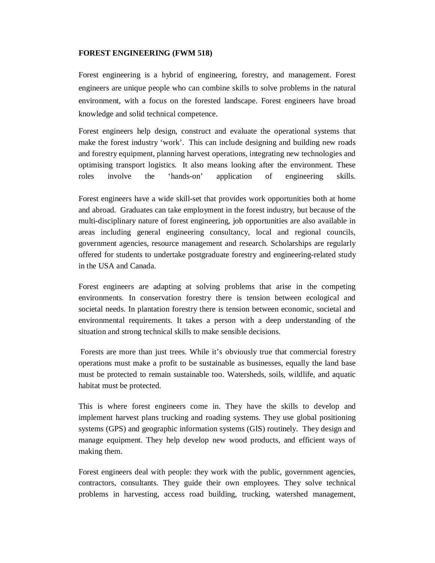## **FOREST ENGINEERING (FWM 518)**

Forest engineering is a hybrid of engineering, forestry, and management. Forest engineers are unique people who can combine skills to solve problems in the natural environment, with a focus on the forested landscape. Forest engineers have broad knowledge and solid technical competence.

Forest engineers help design, construct and evaluate the operational systems that make the forest industry 'work'. This can include designing and building new roads and forestry equipment, planning harvest operations, integrating new technologies and optimising transport logistics. It also means looking after the environment. These roles involve the 'hands-on' application of engineering skills.

Forest engineers have a wide skill-set that provides work opportunities both at home and abroad. Graduates can take employment in the forest industry, but because of the multi-disciplinary nature of forest engineering, job opportunities are also available in areas including general engineering consultancy, local and regional councils, government agencies, resource management and research. Scholarships are regularly offered for students to undertake postgraduate forestry and engineering-related study in the USA and Canada.

Forest engineers are adapting at solving problems that arise in the competing environments. In conservation forestry there is tension between ecological and societal needs. In plantation forestry there is tension between economic, societal and environmental requirements. It takes a person with a deep understanding of the situation and strong technical skills to make sensible decisions.

Forests are more than just trees. While it's obviously true that commercial forestry operations must make a profit to be sustainable as businesses, equally the land base must be protected to remain sustainable too. Watersheds, soils, wildlife, and aquatic habitat must be protected.

This is where forest engineers come in. They have the skills to develop and implement harvest plans trucking and roading systems. They use global positioning systems (GPS) and geographic information systems (GIS) routinely. They design and manage equipment. They help develop new wood products, and efficient ways of making them.

Forest engineers deal with people: they work with the public, government agencies, contractors, consultants. They guide their own employees. They solve technical problems in harvesting, access road building, trucking, watershed management,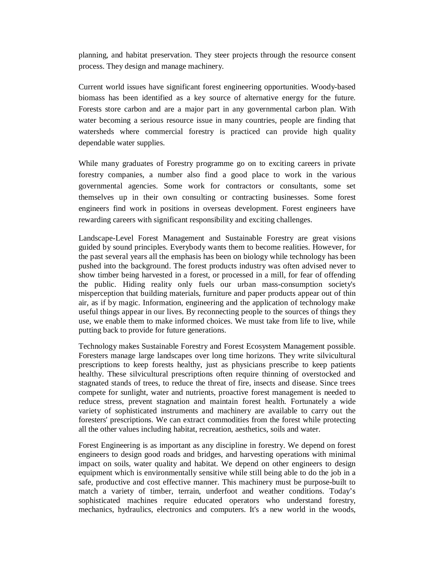planning, and habitat preservation. They steer projects through the resource consent process. They design and manage machinery.

Current world issues have significant forest engineering opportunities. Woody-based biomass has been identified as a key source of alternative energy for the future. Forests store carbon and are a major part in any governmental carbon plan. With water becoming a serious resource issue in many countries, people are finding that watersheds where commercial forestry is practiced can provide high quality dependable water supplies.

While many graduates of Forestry programme go on to exciting careers in private forestry companies, a number also find a good place to work in the various governmental agencies. Some work for contractors or consultants, some set themselves up in their own consulting or contracting businesses. Some forest engineers find work in positions in overseas development. Forest engineers have rewarding careers with significant responsibility and exciting challenges.

Landscape-Level Forest Management and Sustainable Forestry are great visions guided by sound principles. Everybody wants them to become realities. However, for the past several years all the emphasis has been on biology while technology has been pushed into the background. The forest products industry was often advised never to show timber being harvested in a forest, or processed in a mill, for fear of offending the public. Hiding reality only fuels our urban mass-consumption society's misperception that building materials, furniture and paper products appear out of thin air, as if by magic. Information, engineering and the application of technology make useful things appear in our lives. By reconnecting people to the sources of things they use, we enable them to make informed choices. We must take from life to live, while putting back to provide for future generations.

Technology makes Sustainable Forestry and Forest Ecosystem Management possible. Foresters manage large landscapes over long time horizons. They write silvicultural prescriptions to keep forests healthy, just as physicians prescribe to keep patients healthy. These silvicultural prescriptions often require thinning of overstocked and stagnated stands of trees, to reduce the threat of fire, insects and disease. Since trees compete for sunlight, water and nutrients, proactive forest management is needed to reduce stress, prevent stagnation and maintain forest health. Fortunately a wide variety of sophisticated instruments and machinery are available to carry out the foresters' prescriptions. We can extract commodities from the forest while protecting all the other values including habitat, recreation, aesthetics, soils and water.

Forest Engineering is as important as any discipline in forestry. We depend on forest engineers to design good roads and bridges, and harvesting operations with minimal impact on soils, water quality and habitat. We depend on other engineers to design equipment which is environmentally sensitive while still being able to do the job in a safe, productive and cost effective manner. This machinery must be purpose-built to match a variety of timber, terrain, underfoot and weather conditions. Today's sophisticated machines require educated operators who understand forestry, mechanics, hydraulics, electronics and computers. It's a new world in the woods,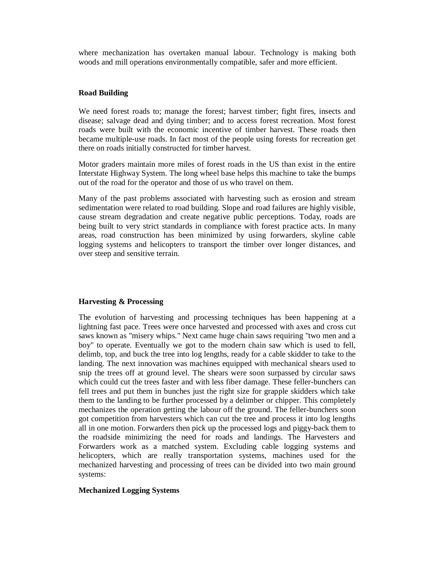where mechanization has overtaken manual labour. Technology is making both woods and mill operations environmentally compatible, safer and more efficient.

#### **Road Building**

We need forest roads to; manage the forest; harvest timber; fight fires, insects and disease; salvage dead and dying timber; and to access forest recreation. Most forest roads were built with the economic incentive of timber harvest. These roads then became multiple-use roads. In fact most of the people using forests for recreation get there on roads initially constructed for timber harvest.

Motor graders maintain more miles of forest roads in the US than exist in the entire Interstate Highway System. The long wheel base helps this machine to take the bumps out of the road for the operator and those of us who travel on them.

Many of the past problems associated with harvesting such as erosion and stream sedimentation were related to road building. Slope and road failures are highly visible, cause stream degradation and create negative public perceptions. Today, roads are being built to very strict standards in compliance with forest practice acts. In many areas, road construction has been minimized by using forwarders, skyline cable logging systems and helicopters to transport the timber over longer distances, and over steep and sensitive terrain.

#### **Harvesting & Processing**

The evolution of harvesting and processing techniques has been happening at a lightning fast pace. Trees were once harvested and processed with axes and cross cut saws known as "misery whips." Next came huge chain saws requiring "two men and a boy" to operate. Eventually we got to the modern chain saw which is used to fell, delimb, top, and buck the tree into log lengths, ready for a cable skidder to take to the landing. The next innovation was machines equipped with mechanical shears used to snip the trees off at ground level. The shears were soon surpassed by circular saws which could cut the trees faster and with less fiber damage. These feller-bunchers can fell trees and put them in bunches just the right size for grapple skidders which take them to the landing to be further processed by a delimber or chipper. This completely mechanizes the operation getting the labour off the ground. The feller-bunchers soon got competition from harvesters which can cut the tree and process it into log lengths all in one motion. Forwarders then pick up the processed logs and piggy-back them to the roadside minimizing the need for roads and landings. The Harvesters and Forwarders work as a matched system. Excluding cable logging systems and helicopters, which are really transportation systems, machines used for the mechanized harvesting and processing of trees can be divided into two main ground systems:

#### **Mechanized Logging Systems**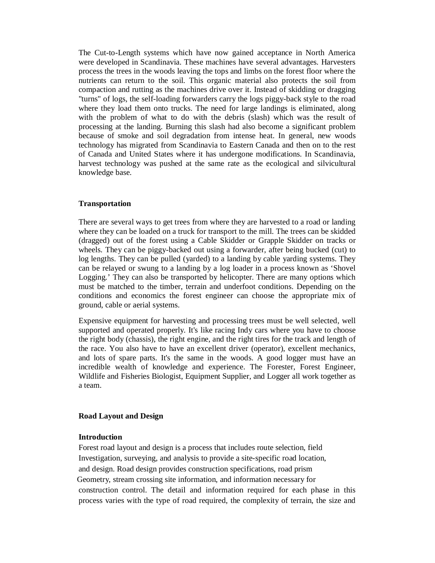The Cut-to-Length systems which have now gained acceptance in North America were developed in Scandinavia. These machines have several advantages. Harvesters process the trees in the woods leaving the tops and limbs on the forest floor where the nutrients can return to the soil. This organic material also protects the soil from compaction and rutting as the machines drive over it. Instead of skidding or dragging "turns" of logs, the self-loading forwarders carry the logs piggy-back style to the road where they load them onto trucks. The need for large landings is eliminated, along with the problem of what to do with the debris (slash) which was the result of processing at the landing. Burning this slash had also become a significant problem because of smoke and soil degradation from intense heat. In general, new woods technology has migrated from Scandinavia to Eastern Canada and then on to the rest of Canada and United States where it has undergone modifications. In Scandinavia, harvest technology was pushed at the same rate as the ecological and silvicultural knowledge base.

#### **Transportation**

There are several ways to get trees from where they are harvested to a road or landing where they can be loaded on a truck for transport to the mill. The trees can be skidded (dragged) out of the forest using a Cable Skidder or Grapple Skidder on tracks or wheels. They can be piggy-backed out using a forwarder, after being bucked (cut) to log lengths. They can be pulled (yarded) to a landing by cable yarding systems. They can be relayed or swung to a landing by a log loader in a process known as 'Shovel Logging.' They can also be transported by helicopter. There are many options which must be matched to the timber, terrain and underfoot conditions. Depending on the conditions and economics the forest engineer can choose the appropriate mix of ground, cable or aerial systems.

Expensive equipment for harvesting and processing trees must be well selected, well supported and operated properly. It's like racing Indy cars where you have to choose the right body (chassis), the right engine, and the right tires for the track and length of the race. You also have to have an excellent driver (operator), excellent mechanics, and lots of spare parts. It's the same in the woods. A good logger must have an incredible wealth of knowledge and experience. The Forester, Forest Engineer, Wildlife and Fisheries Biologist, Equipment Supplier, and Logger all work together as a team.

#### **Road Layout and Design**

#### **Introduction**

Forest road layout and design is a process that includes route selection, field Investigation, surveying, and analysis to provide a site-specific road location, and design. Road design provides construction specifications, road prism Geometry, stream crossing site information, and information necessary for construction control. The detail and information required for each phase in this process varies with the type of road required, the complexity of terrain, the size and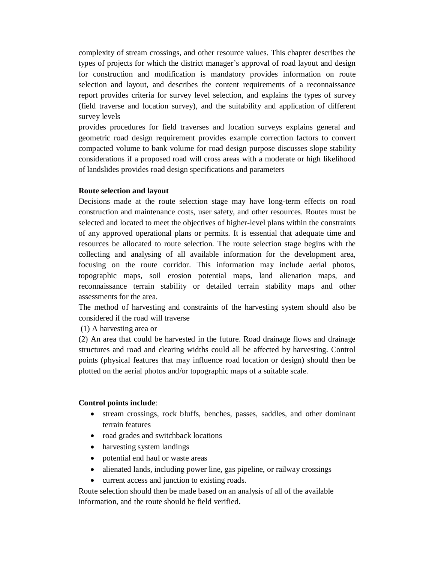complexity of stream crossings, and other resource values. This chapter describes the types of projects for which the district manager's approval of road layout and design for construction and modification is mandatory provides information on route selection and layout, and describes the content requirements of a reconnaissance report provides criteria for survey level selection, and explains the types of survey (field traverse and location survey), and the suitability and application of different survey levels

provides procedures for field traverses and location surveys explains general and geometric road design requirement provides example correction factors to convert compacted volume to bank volume for road design purpose discusses slope stability considerations if a proposed road will cross areas with a moderate or high likelihood of landslides provides road design specifications and parameters

#### **Route selection and layout**

Decisions made at the route selection stage may have long-term effects on road construction and maintenance costs, user safety, and other resources. Routes must be selected and located to meet the objectives of higher-level plans within the constraints of any approved operational plans or permits. It is essential that adequate time and resources be allocated to route selection. The route selection stage begins with the collecting and analysing of all available information for the development area, focusing on the route corridor. This information may include aerial photos, topographic maps, soil erosion potential maps, land alienation maps, and reconnaissance terrain stability or detailed terrain stability maps and other assessments for the area.

The method of harvesting and constraints of the harvesting system should also be considered if the road will traverse

## (1) A harvesting area or

(2) An area that could be harvested in the future. Road drainage flows and drainage structures and road and clearing widths could all be affected by harvesting. Control points (physical features that may influence road location or design) should then be plotted on the aerial photos and/or topographic maps of a suitable scale.

## **Control points include**:

- stream crossings, rock bluffs, benches, passes, saddles, and other dominant terrain features
- road grades and switchback locations
- harvesting system landings
- potential end haul or waste areas
- alienated lands, including power line, gas pipeline, or railway crossings
- current access and junction to existing roads.

Route selection should then be made based on an analysis of all of the available information, and the route should be field verified.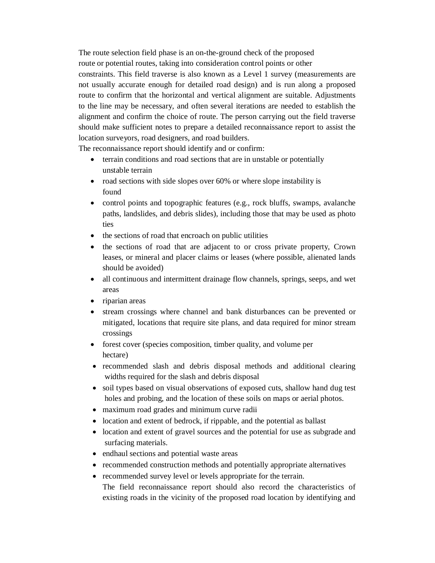The route selection field phase is an on-the-ground check of the proposed route or potential routes, taking into consideration control points or other constraints. This field traverse is also known as a Level 1 survey (measurements are not usually accurate enough for detailed road design) and is run along a proposed route to confirm that the horizontal and vertical alignment are suitable. Adjustments to the line may be necessary, and often several iterations are needed to establish the alignment and confirm the choice of route. The person carrying out the field traverse should make sufficient notes to prepare a detailed reconnaissance report to assist the location surveyors, road designers, and road builders.

The reconnaissance report should identify and or confirm:

- terrain conditions and road sections that are in unstable or potentially unstable terrain
- road sections with side slopes over 60% or where slope instability is found
- control points and topographic features (e.g., rock bluffs, swamps, avalanche paths, landslides, and debris slides), including those that may be used as photo ties
- the sections of road that encroach on public utilities
- the sections of road that are adjacent to or cross private property, Crown leases, or mineral and placer claims or leases (where possible, alienated lands should be avoided)
- all continuous and intermittent drainage flow channels, springs, seeps, and wet areas
- riparian areas
- stream crossings where channel and bank disturbances can be prevented or mitigated, locations that require site plans, and data required for minor stream crossings
- forest cover (species composition, timber quality, and volume per hectare)
- recommended slash and debris disposal methods and additional clearing widths required for the slash and debris disposal
- soil types based on visual observations of exposed cuts, shallow hand dug test holes and probing, and the location of these soils on maps or aerial photos.
- maximum road grades and minimum curve radii
- location and extent of bedrock, if rippable, and the potential as ballast
- location and extent of gravel sources and the potential for use as subgrade and surfacing materials.
- endhaul sections and potential waste areas
- recommended construction methods and potentially appropriate alternatives
- recommended survey level or levels appropriate for the terrain.
- The field reconnaissance report should also record the characteristics of existing roads in the vicinity of the proposed road location by identifying and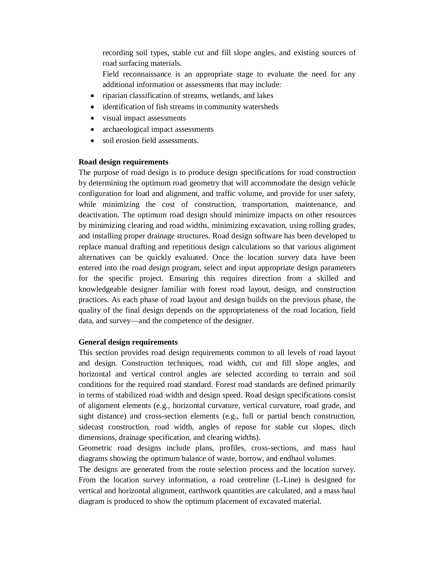recording soil types, stable cut and fill slope angles, and existing sources of road surfacing materials.

Field reconnaissance is an appropriate stage to evaluate the need for any additional information or assessments that may include:

- riparian classification of streams, wetlands, and lakes
- identification of fish streams in community watersheds
- visual impact assessments
- archaeological impact assessments
- soil erosion field assessments.

#### **Road design requirements**

The purpose of road design is to produce design specifications for road construction by determining the optimum road geometry that will accommodate the design vehicle configuration for load and alignment, and traffic volume, and provide for user safety, while minimizing the cost of construction, transportation, maintenance, and deactivation. The optimum road design should minimize impacts on other resources by minimizing clearing and road widths, minimizing excavation, using rolling grades, and installing proper drainage structures. Road design software has been developed to replace manual drafting and repetitious design calculations so that various alignment alternatives can be quickly evaluated. Once the location survey data have been entered into the road design program, select and input appropriate design parameters for the specific project. Ensuring this requires direction from a skilled and knowledgeable designer familiar with forest road layout, design, and construction practices. As each phase of road layout and design builds on the previous phase, the quality of the final design depends on the appropriateness of the road location, field data, and survey—and the competence of the designer.

### **General design requirements**

This section provides road design requirements common to all levels of road layout and design. Construction techniques, road width, cut and fill slope angles, and horizontal and vertical control angles are selected according to terrain and soil conditions for the required road standard. Forest road standards are defined primarily in terms of stabilized road width and design speed. Road design specifications consist of alignment elements (e.g., horizontal curvature, vertical curvature, road grade, and sight distance) and cross-section elements (e.g., full or partial bench construction, sidecast construction, road width, angles of repose for stable cut slopes, ditch dimensions, drainage specification, and clearing widths).

Geometric road designs include plans, profiles, cross-sections, and mass haul diagrams showing the optimum balance of waste, borrow, and endhaul volumes.

The designs are generated from the route selection process and the location survey. From the location survey information, a road centreline (L-Line) is designed for vertical and horizontal alignment, earthwork quantities are calculated, and a mass haul diagram is produced to show the optimum placement of excavated material.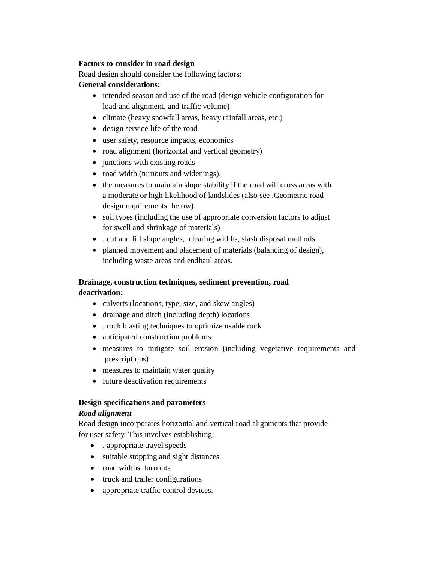## **Factors to consider in road design**

Road design should consider the following factors:

## **General considerations:**

- intended season and use of the road (design vehicle configuration for load and alignment, and traffic volume)
- climate (heavy snowfall areas, heavy rainfall areas, etc.)
- design service life of the road
- user safety, resource impacts, economics
- road alignment (horizontal and vertical geometry)
- junctions with existing roads
- road width (turnouts and widenings).
- the measures to maintain slope stability if the road will cross areas with a moderate or high likelihood of landslides (also see .Geometric road design requirements. below)
- soil types (including the use of appropriate conversion factors to adjust for swell and shrinkage of materials)
- . cut and fill slope angles, clearing widths, slash disposal methods
- planned movement and placement of materials (balancing of design), including waste areas and endhaul areas.

# **Drainage, construction techniques, sediment prevention, road deactivation:**

- culverts (locations, type, size, and skew angles)
- drainage and ditch (including depth) locations
- . rock blasting techniques to optimize usable rock
- anticipated construction problems
- measures to mitigate soil erosion (including vegetative requirements and prescriptions)
- measures to maintain water quality
- future deactivation requirements

## **Design specifications and parameters**

## *Road alignment*

Road design incorporates horizontal and vertical road alignments that provide for user safety. This involves establishing:

- . appropriate travel speeds
- suitable stopping and sight distances
- road widths, turnouts
- truck and trailer configurations
- appropriate traffic control devices.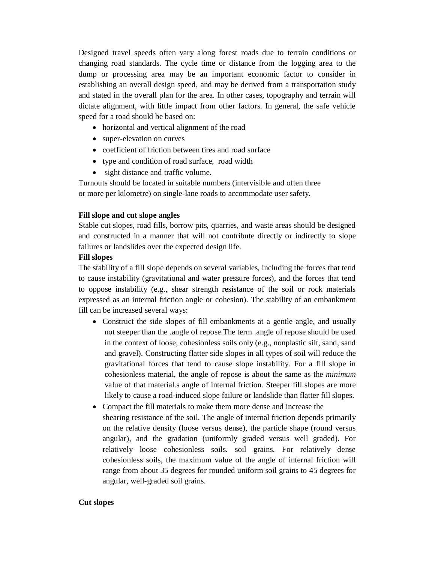Designed travel speeds often vary along forest roads due to terrain conditions or changing road standards. The cycle time or distance from the logging area to the dump or processing area may be an important economic factor to consider in establishing an overall design speed, and may be derived from a transportation study and stated in the overall plan for the area. In other cases, topography and terrain will dictate alignment, with little impact from other factors. In general, the safe vehicle speed for a road should be based on:

- horizontal and vertical alignment of the road
- super-elevation on curves
- coefficient of friction between tires and road surface
- type and condition of road surface, road width
- sight distance and traffic volume.

Turnouts should be located in suitable numbers (intervisible and often three or more per kilometre) on single-lane roads to accommodate user safety.

## **Fill slope and cut slope angles**

Stable cut slopes, road fills, borrow pits, quarries, and waste areas should be designed and constructed in a manner that will not contribute directly or indirectly to slope failures or landslides over the expected design life.

#### **Fill slopes**

The stability of a fill slope depends on several variables, including the forces that tend to cause instability (gravitational and water pressure forces), and the forces that tend to oppose instability (e.g., shear strength resistance of the soil or rock materials expressed as an internal friction angle or cohesion). The stability of an embankment fill can be increased several ways:

- Construct the side slopes of fill embankments at a gentle angle, and usually not steeper than the .angle of repose.The term .angle of repose should be used in the context of loose, cohesionless soils only (e.g., nonplastic silt, sand, sand and gravel). Constructing flatter side slopes in all types of soil will reduce the gravitational forces that tend to cause slope instability. For a fill slope in cohesionless material, the angle of repose is about the same as the *minimum*  value of that material.s angle of internal friction. Steeper fill slopes are more likely to cause a road-induced slope failure or landslide than flatter fill slopes.
- Compact the fill materials to make them more dense and increase the shearing resistance of the soil. The angle of internal friction depends primarily on the relative density (loose versus dense), the particle shape (round versus angular), and the gradation (uniformly graded versus well graded). For relatively loose cohesionless soils. soil grains. For relatively dense cohesionless soils, the maximum value of the angle of internal friction will range from about 35 degrees for rounded uniform soil grains to 45 degrees for angular, well-graded soil grains.

## **Cut slopes**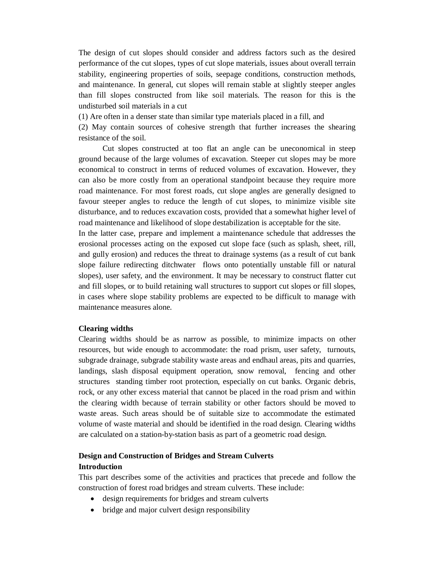The design of cut slopes should consider and address factors such as the desired performance of the cut slopes, types of cut slope materials, issues about overall terrain stability, engineering properties of soils, seepage conditions, construction methods, and maintenance. In general, cut slopes will remain stable at slightly steeper angles than fill slopes constructed from like soil materials. The reason for this is the undisturbed soil materials in a cut

(1) Are often in a denser state than similar type materials placed in a fill, and

(2) May contain sources of cohesive strength that further increases the shearing resistance of the soil.

Cut slopes constructed at too flat an angle can be uneconomical in steep ground because of the large volumes of excavation. Steeper cut slopes may be more economical to construct in terms of reduced volumes of excavation. However, they can also be more costly from an operational standpoint because they require more road maintenance. For most forest roads, cut slope angles are generally designed to favour steeper angles to reduce the length of cut slopes, to minimize visible site disturbance, and to reduces excavation costs, provided that a somewhat higher level of road maintenance and likelihood of slope destabilization is acceptable for the site.

In the latter case, prepare and implement a maintenance schedule that addresses the erosional processes acting on the exposed cut slope face (such as splash, sheet, rill, and gully erosion) and reduces the threat to drainage systems (as a result of cut bank slope failure redirecting ditchwater flows onto potentially unstable fill or natural slopes), user safety, and the environment. It may be necessary to construct flatter cut and fill slopes, or to build retaining wall structures to support cut slopes or fill slopes, in cases where slope stability problems are expected to be difficult to manage with maintenance measures alone.

#### **Clearing widths**

Clearing widths should be as narrow as possible, to minimize impacts on other resources, but wide enough to accommodate: the road prism, user safety, turnouts, subgrade drainage, subgrade stability waste areas and endhaul areas, pits and quarries, landings, slash disposal equipment operation, snow removal, fencing and other structures standing timber root protection, especially on cut banks. Organic debris, rock, or any other excess material that cannot be placed in the road prism and within the clearing width because of terrain stability or other factors should be moved to waste areas. Such areas should be of suitable size to accommodate the estimated volume of waste material and should be identified in the road design. Clearing widths are calculated on a station-by-station basis as part of a geometric road design.

## **Design and Construction of Bridges and Stream Culverts Introduction**

This part describes some of the activities and practices that precede and follow the construction of forest road bridges and stream culverts. These include:

- design requirements for bridges and stream culverts
- bridge and major culvert design responsibility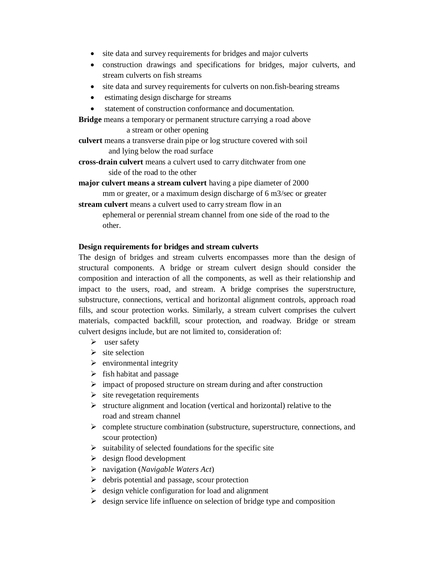- site data and survey requirements for bridges and major culverts
- construction drawings and specifications for bridges, major culverts, and stream culverts on fish streams
- site data and survey requirements for culverts on non.fish-bearing streams
- estimating design discharge for streams
- statement of construction conformance and documentation.

**Bridge** means a temporary or permanent structure carrying a road above a stream or other opening

**culvert** means a transverse drain pipe or log structure covered with soil and lying below the road surface

**cross-drain culvert** means a culvert used to carry ditchwater from one side of the road to the other

**major culvert means a stream culvert** having a pipe diameter of 2000

mm or greater, or a maximum design discharge of 6 m3/sec or greater

**stream culvert** means a culvert used to carry stream flow in an

ephemeral or perennial stream channel from one side of the road to the other.

## **Design requirements for bridges and stream culverts**

The design of bridges and stream culverts encompasses more than the design of structural components. A bridge or stream culvert design should consider the composition and interaction of all the components, as well as their relationship and impact to the users, road, and stream. A bridge comprises the superstructure, substructure, connections, vertical and horizontal alignment controls, approach road fills, and scour protection works. Similarly, a stream culvert comprises the culvert materials, compacted backfill, scour protection, and roadway. Bridge or stream culvert designs include, but are not limited to, consideration of:

- $\triangleright$  user safety
- $\triangleright$  site selection
- $\triangleright$  environmental integrity
- $\triangleright$  fish habitat and passage
- $\triangleright$  impact of proposed structure on stream during and after construction
- $\triangleright$  site revegetation requirements
- $\triangleright$  structure alignment and location (vertical and horizontal) relative to the road and stream channel
- $\triangleright$  complete structure combination (substructure, superstructure, connections, and scour protection)
- $\triangleright$  suitability of selected foundations for the specific site
- $\triangleright$  design flood development
- navigation (*Navigable Waters Act*)
- $\triangleright$  debris potential and passage, scour protection
- $\triangleright$  design vehicle configuration for load and alignment
- $\triangleright$  design service life influence on selection of bridge type and composition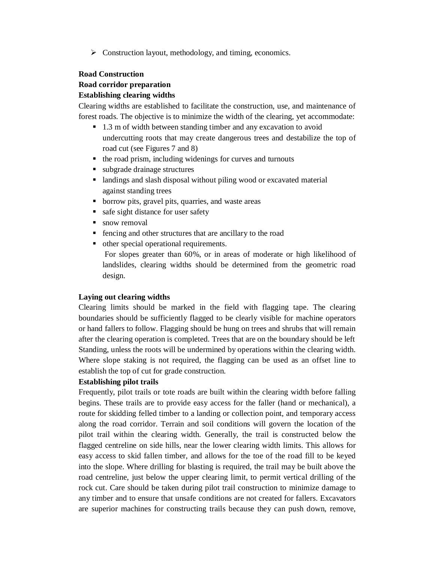$\triangleright$  Construction layout, methodology, and timing, economics.

## **Road Construction**

### **Road corridor preparation**

#### **Establishing clearing widths**

Clearing widths are established to facilitate the construction, use, and maintenance of forest roads. The objective is to minimize the width of the clearing, yet accommodate:

- 1.3 m of width between standing timber and any excavation to avoid undercutting roots that may create dangerous trees and destabilize the top of road cut (see Figures 7 and 8)
- the road prism, including widenings for curves and turnouts
- subgrade drainage structures
- landings and slash disposal without piling wood or excavated material against standing trees
- borrow pits, gravel pits, quarries, and waste areas
- safe sight distance for user safety
- snow removal
- fencing and other structures that are ancillary to the road
- other special operational requirements.

For slopes greater than 60%, or in areas of moderate or high likelihood of landslides, clearing widths should be determined from the geometric road design.

## **Laying out clearing widths**

Clearing limits should be marked in the field with flagging tape. The clearing boundaries should be sufficiently flagged to be clearly visible for machine operators or hand fallers to follow. Flagging should be hung on trees and shrubs that will remain after the clearing operation is completed. Trees that are on the boundary should be left Standing, unless the roots will be undermined by operations within the clearing width. Where slope staking is not required, the flagging can be used as an offset line to establish the top of cut for grade construction.

#### **Establishing pilot trails**

Frequently, pilot trails or tote roads are built within the clearing width before falling begins. These trails are to provide easy access for the faller (hand or mechanical), a route for skidding felled timber to a landing or collection point, and temporary access along the road corridor. Terrain and soil conditions will govern the location of the pilot trail within the clearing width. Generally, the trail is constructed below the flagged centreline on side hills, near the lower clearing width limits. This allows for easy access to skid fallen timber, and allows for the toe of the road fill to be keyed into the slope. Where drilling for blasting is required, the trail may be built above the road centreline, just below the upper clearing limit, to permit vertical drilling of the rock cut. Care should be taken during pilot trail construction to minimize damage to any timber and to ensure that unsafe conditions are not created for fallers. Excavators are superior machines for constructing trails because they can push down, remove,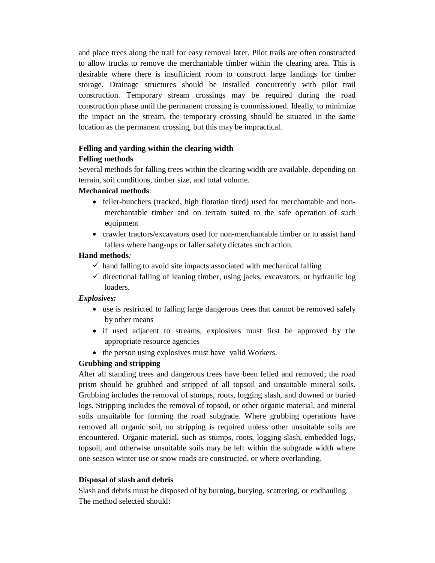and place trees along the trail for easy removal later. Pilot trails are often constructed to allow trucks to remove the merchantable timber within the clearing area. This is desirable where there is insufficient room to construct large landings for timber storage. Drainage structures should be installed concurrently with pilot trail construction. Temporary stream crossings may be required during the road construction phase until the permanent crossing is commissioned. Ideally, to minimize the impact on the stream, the temporary crossing should be situated in the same location as the permanent crossing, but this may be impractical.

# **Felling and yarding within the clearing width Felling methods**

Several methods for falling trees within the clearing width are available, depending on terrain, soil conditions, timber size, and total volume.

## **Mechanical methods**:

- feller-bunchers (tracked, high flotation tired) used for merchantable and nonmerchantable timber and on terrain suited to the safe operation of such equipment
- crawler tractors/excavators used for non-merchantable timber or to assist hand fallers where hang-ups or faller safety dictates such action.

## **Hand methods***:*

- $\checkmark$  hand falling to avoid site impacts associated with mechanical falling
- $\checkmark$  directional falling of leaning timber, using jacks, excavators, or hydraulic log loaders.

## *Explosives:*

- use is restricted to falling large dangerous trees that cannot be removed safely by other means
- if used adjacent to streams, explosives must first be approved by the appropriate resource agencies
- the person using explosives must have valid Workers.

## **Grubbing and stripping**

After all standing trees and dangerous trees have been felled and removed; the road prism should be grubbed and stripped of all topsoil and unsuitable mineral soils. Grubbing includes the removal of stumps, roots, logging slash, and downed or buried logs. Stripping includes the removal of topsoil, or other organic material, and mineral soils unsuitable for forming the road subgrade. Where grubbing operations have removed all organic soil, no stripping is required unless other unsuitable soils are encountered. Organic material, such as stumps, roots, logging slash, embedded logs, topsoil, and otherwise unsuitable soils may be left within the subgrade width where one-season winter use or snow roads are constructed, or where overlanding.

## **Disposal of slash and debris**

Slash and debris must be disposed of by burning, burying, scattering, or endhauling. The method selected should: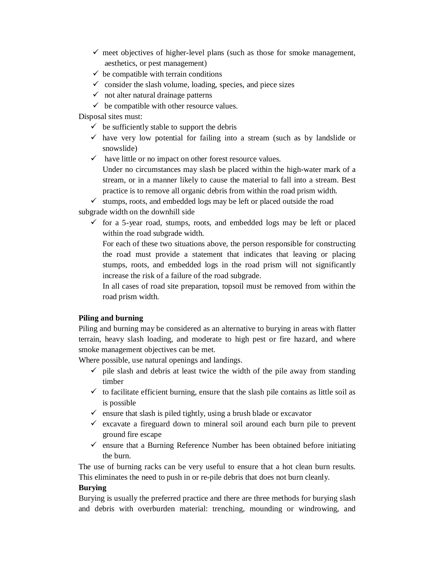- $\checkmark$  meet objectives of higher-level plans (such as those for smoke management, aesthetics, or pest management)
- $\checkmark$  be compatible with terrain conditions
- $\checkmark$  consider the slash volume, loading, species, and piece sizes
- $\checkmark$  not alter natural drainage patterns
- $\checkmark$  be compatible with other resource values.

Disposal sites must:

- $\checkmark$  be sufficiently stable to support the debris
- $\checkmark$  have very low potential for failing into a stream (such as by landslide or snowslide)
- $\checkmark$  have little or no impact on other forest resource values.

Under no circumstances may slash be placed within the high-water mark of a stream, or in a manner likely to cause the material to fall into a stream. Best practice is to remove all organic debris from within the road prism width.

 $\checkmark$  stumps, roots, and embedded logs may be left or placed outside the road

subgrade width on the downhill side

 $\checkmark$  for a 5-year road, stumps, roots, and embedded logs may be left or placed within the road subgrade width.

For each of these two situations above, the person responsible for constructing the road must provide a statement that indicates that leaving or placing stumps, roots, and embedded logs in the road prism will not significantly increase the risk of a failure of the road subgrade.

In all cases of road site preparation, topsoil must be removed from within the road prism width.

## **Piling and burning**

Piling and burning may be considered as an alternative to burying in areas with flatter terrain, heavy slash loading, and moderate to high pest or fire hazard, and where smoke management objectives can be met.

Where possible, use natural openings and landings.

- $\checkmark$  pile slash and debris at least twice the width of the pile away from standing timber
- $\checkmark$  to facilitate efficient burning, ensure that the slash pile contains as little soil as is possible
- $\checkmark$  ensure that slash is piled tightly, using a brush blade or excavator
- $\checkmark$  excavate a fireguard down to mineral soil around each burn pile to prevent ground fire escape
- $\checkmark$  ensure that a Burning Reference Number has been obtained before initiating the burn.

The use of burning racks can be very useful to ensure that a hot clean burn results. This eliminates the need to push in or re-pile debris that does not burn cleanly.

## **Burying**

Burying is usually the preferred practice and there are three methods for burying slash and debris with overburden material: trenching, mounding or windrowing, and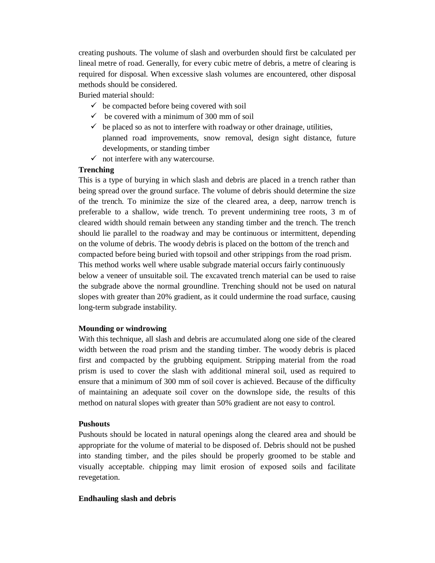creating pushouts. The volume of slash and overburden should first be calculated per lineal metre of road. Generally, for every cubic metre of debris, a metre of clearing is required for disposal. When excessive slash volumes are encountered, other disposal methods should be considered.

Buried material should:

- $\checkmark$  be compacted before being covered with soil
- $\checkmark$  be covered with a minimum of 300 mm of soil
- $\checkmark$  be placed so as not to interfere with roadway or other drainage, utilities, planned road improvements, snow removal, design sight distance, future developments, or standing timber
- $\checkmark$  not interfere with any watercourse.

## **Trenching**

This is a type of burying in which slash and debris are placed in a trench rather than being spread over the ground surface. The volume of debris should determine the size of the trench. To minimize the size of the cleared area, a deep, narrow trench is preferable to a shallow, wide trench. To prevent undermining tree roots, 3 m of cleared width should remain between any standing timber and the trench. The trench should lie parallel to the roadway and may be continuous or intermittent, depending on the volume of debris. The woody debris is placed on the bottom of the trench and compacted before being buried with topsoil and other strippings from the road prism. This method works well where usable subgrade material occurs fairly continuously below a veneer of unsuitable soil. The excavated trench material can be used to raise the subgrade above the normal groundline. Trenching should not be used on natural slopes with greater than 20% gradient, as it could undermine the road surface, causing long-term subgrade instability.

#### **Mounding or windrowing**

With this technique, all slash and debris are accumulated along one side of the cleared width between the road prism and the standing timber. The woody debris is placed first and compacted by the grubbing equipment. Stripping material from the road prism is used to cover the slash with additional mineral soil, used as required to ensure that a minimum of 300 mm of soil cover is achieved. Because of the difficulty of maintaining an adequate soil cover on the downslope side, the results of this method on natural slopes with greater than 50% gradient are not easy to control.

#### **Pushouts**

Pushouts should be located in natural openings along the cleared area and should be appropriate for the volume of material to be disposed of. Debris should not be pushed into standing timber, and the piles should be properly groomed to be stable and visually acceptable. chipping may limit erosion of exposed soils and facilitate revegetation.

#### **Endhauling slash and debris**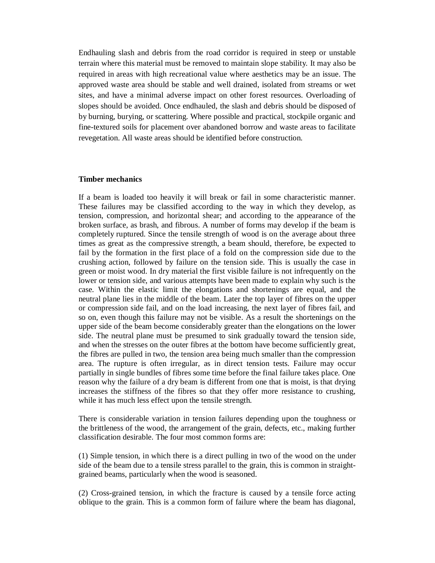Endhauling slash and debris from the road corridor is required in steep or unstable terrain where this material must be removed to maintain slope stability. It may also be required in areas with high recreational value where aesthetics may be an issue. The approved waste area should be stable and well drained, isolated from streams or wet sites, and have a minimal adverse impact on other forest resources. Overloading of slopes should be avoided. Once endhauled, the slash and debris should be disposed of by burning, burying, or scattering. Where possible and practical, stockpile organic and fine-textured soils for placement over abandoned borrow and waste areas to facilitate revegetation. All waste areas should be identified before construction.

#### **Timber mechanics**

If a beam is loaded too heavily it will break or fail in some characteristic manner. These failures may be classified according to the way in which they develop, as tension, compression, and horizontal shear; and according to the appearance of the broken surface, as brash, and fibrous. A number of forms may develop if the beam is completely ruptured. Since the tensile strength of wood is on the average about three times as great as the compressive strength, a beam should, therefore, be expected to fail by the formation in the first place of a fold on the compression side due to the crushing action, followed by failure on the tension side. This is usually the case in green or moist wood. In dry material the first visible failure is not infrequently on the lower or tension side, and various attempts have been made to explain why such is the case. Within the elastic limit the elongations and shortenings are equal, and the neutral plane lies in the middle of the beam. Later the top layer of fibres on the upper or compression side fail, and on the load increasing, the next layer of fibres fail, and so on, even though this failure may not be visible. As a result the shortenings on the upper side of the beam become considerably greater than the elongations on the lower side. The neutral plane must be presumed to sink gradually toward the tension side, and when the stresses on the outer fibres at the bottom have become sufficiently great, the fibres are pulled in two, the tension area being much smaller than the compression area. The rupture is often irregular, as in direct tension tests. Failure may occur partially in single bundles of fibres some time before the final failure takes place. One reason why the failure of a dry beam is different from one that is moist, is that drying increases the stiffness of the fibres so that they offer more resistance to crushing, while it has much less effect upon the tensile strength.

There is considerable variation in tension failures depending upon the toughness or the brittleness of the wood, the arrangement of the grain, defects, etc., making further classification desirable. The four most common forms are:

(1) Simple tension, in which there is a direct pulling in two of the wood on the under side of the beam due to a tensile stress parallel to the grain, this is common in straightgrained beams, particularly when the wood is seasoned.

(2) Cross-grained tension, in which the fracture is caused by a tensile force acting oblique to the grain. This is a common form of failure where the beam has diagonal,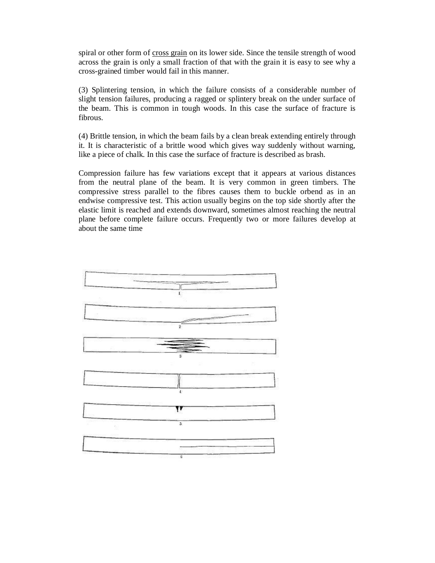spiral or other form of cross grain on its lower side. Since the tensile strength of wood across the grain is only a small fraction of that with the grain it is easy to see why a cross-grained timber would fail in this manner.

(3) Splintering tension, in which the failure consists of a considerable number of slight tension failures, producing a ragged or splintery break on the under surface of the beam. This is common in tough woods. In this case the surface of fracture is fibrous.

(4) Brittle tension, in which the beam fails by a clean break extending entirely through it. It is characteristic of a brittle wood which gives way suddenly without warning, like a piece of chalk. In this case the surface of fracture is described as brash.

Compression failure has few variations except that it appears at various distances from the neutral plane of the beam. It is very common in green timbers. The compressive stress parallel to the fibres causes them to buckle orbend as in an endwise compressive test. This action usually begins on the top side shortly after the elastic limit is reached and extends downward, sometimes almost reaching the neutral plane before complete failure occurs. Frequently two or more failures develop at about the same time

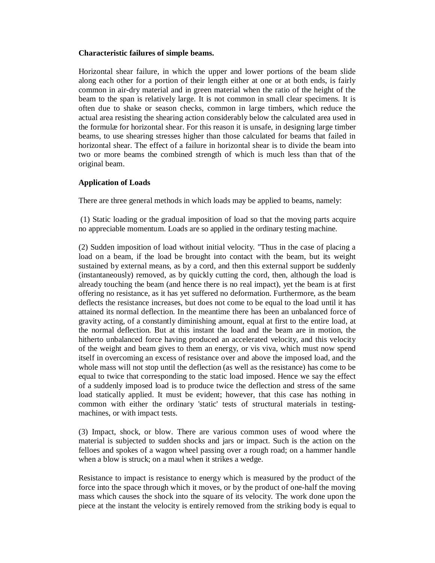#### **Characteristic failures of simple beams.**

Horizontal shear failure, in which the upper and lower portions of the beam slide along each other for a portion of their length either at one or at both ends, is fairly common in air-dry material and in green material when the ratio of the height of the beam to the span is relatively large. It is not common in small clear specimens. It is often due to shake or season checks, common in large timbers, which reduce the actual area resisting the shearing action considerably below the calculated area used in the formulæ for horizontal shear. For this reason it is unsafe, in designing large timber beams, to use shearing stresses higher than those calculated for beams that failed in horizontal shear. The effect of a failure in horizontal shear is to divide the beam into two or more beams the combined strength of which is much less than that of the original beam.

## **Application of Loads**

There are three general methods in which loads may be applied to beams, namely:

(1) Static loading or the gradual imposition of load so that the moving parts acquire no appreciable momentum. Loads are so applied in the ordinary testing machine.

(2) Sudden imposition of load without initial velocity. "Thus in the case of placing a load on a beam, if the load be brought into contact with the beam, but its weight sustained by external means, as by a cord, and then this external support be suddenly (instantaneously) removed, as by quickly cutting the cord, then, although the load is already touching the beam (and hence there is no real impact), yet the beam is at first offering no resistance, as it has yet suffered no deformation. Furthermore, as the beam deflects the resistance increases, but does not come to be equal to the load until it has attained its normal deflection. In the meantime there has been an unbalanced force of gravity acting, of a constantly diminishing amount, equal at first to the entire load, at the normal deflection. But at this instant the load and the beam are in motion, the hitherto unbalanced force having produced an accelerated velocity, and this velocity of the weight and beam gives to them an energy, or vis viva, which must now spend itself in overcoming an excess of resistance over and above the imposed load, and the whole mass will not stop until the deflection (as well as the resistance) has come to be equal to twice that corresponding to the static load imposed. Hence we say the effect of a suddenly imposed load is to produce twice the deflection and stress of the same load statically applied. It must be evident; however, that this case has nothing in common with either the ordinary 'static' tests of structural materials in testingmachines, or with impact tests.

(3) Impact, shock, or blow. There are various common uses of wood where the material is subjected to sudden shocks and jars or impact. Such is the action on the felloes and spokes of a wagon wheel passing over a rough road; on a hammer handle when a blow is struck; on a maul when it strikes a wedge.

Resistance to impact is resistance to energy which is measured by the product of the force into the space through which it moves, or by the product of one-half the moving mass which causes the shock into the square of its velocity. The work done upon the piece at the instant the velocity is entirely removed from the striking body is equal to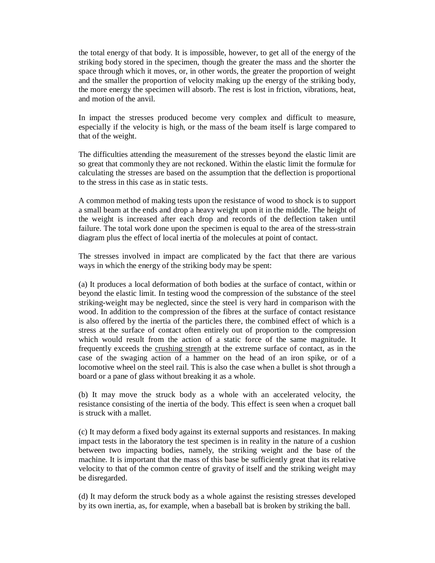the total energy of that body. It is impossible, however, to get all of the energy of the striking body stored in the specimen, though the greater the mass and the shorter the space through which it moves, or, in other words, the greater the proportion of weight and the smaller the proportion of velocity making up the energy of the striking body, the more energy the specimen will absorb. The rest is lost in friction, vibrations, heat, and motion of the anvil.

In impact the stresses produced become very complex and difficult to measure, especially if the velocity is high, or the mass of the beam itself is large compared to that of the weight.

The difficulties attending the measurement of the stresses beyond the elastic limit are so great that commonly they are not reckoned. Within the elastic limit the formulæ for calculating the stresses are based on the assumption that the deflection is proportional to the stress in this case as in static tests.

A common method of making tests upon the resistance of wood to shock is to support a small beam at the ends and drop a heavy weight upon it in the middle. The height of the weight is increased after each drop and records of the deflection taken until failure. The total work done upon the specimen is equal to the area of the stress-strain diagram plus the effect of local inertia of the molecules at point of contact.

The stresses involved in impact are complicated by the fact that there are various ways in which the energy of the striking body may be spent:

(a) It produces a local deformation of both bodies at the surface of contact, within or beyond the elastic limit. In testing wood the compression of the substance of the steel striking-weight may be neglected, since the steel is very hard in comparison with the wood. In addition to the compression of the fibres at the surface of contact resistance is also offered by the inertia of the particles there, the combined effect of which is a stress at the surface of contact often entirely out of proportion to the compression which would result from the action of a static force of the same magnitude. It frequently exceeds the crushing strength at the extreme surface of contact, as in the case of the swaging action of a hammer on the head of an iron spike, or of a locomotive wheel on the steel rail. This is also the case when a bullet is shot through a board or a pane of glass without breaking it as a whole.

(b) It may move the struck body as a whole with an accelerated velocity, the resistance consisting of the inertia of the body. This effect is seen when a croquet ball is struck with a mallet.

(c) It may deform a fixed body against its external supports and resistances. In making impact tests in the laboratory the test specimen is in reality in the nature of a cushion between two impacting bodies, namely, the striking weight and the base of the machine. It is important that the mass of this base be sufficiently great that its relative velocity to that of the common centre of gravity of itself and the striking weight may be disregarded.

(d) It may deform the struck body as a whole against the resisting stresses developed by its own inertia, as, for example, when a baseball bat is broken by striking the ball.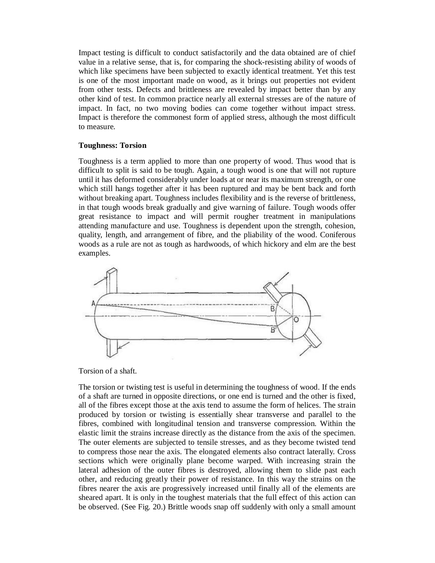Impact testing is difficult to conduct satisfactorily and the data obtained are of chief value in a relative sense, that is, for comparing the shock-resisting ability of woods of which like specimens have been subjected to exactly identical treatment. Yet this test is one of the most important made on wood, as it brings out properties not evident from other tests. Defects and brittleness are revealed by impact better than by any other kind of test. In common practice nearly all external stresses are of the nature of impact. In fact, no two moving bodies can come together without impact stress. Impact is therefore the commonest form of applied stress, although the most difficult to measure.

### **Toughness: Torsion**

Toughness is a term applied to more than one property of wood. Thus wood that is difficult to split is said to be tough. Again, a tough wood is one that will not rupture until it has deformed considerably under loads at or near its maximum strength, or one which still hangs together after it has been ruptured and may be bent back and forth without breaking apart. Toughness includes flexibility and is the reverse of brittleness, in that tough woods break gradually and give warning of failure. Tough woods offer great resistance to impact and will permit rougher treatment in manipulations attending manufacture and use. Toughness is dependent upon the strength, cohesion, quality, length, and arrangement of fibre, and the pliability of the wood. Coniferous woods as a rule are not as tough as hardwoods, of which hickory and elm are the best examples.



Torsion of a shaft.

The torsion or twisting test is useful in determining the toughness of wood. If the ends of a shaft are turned in opposite directions, or one end is turned and the other is fixed, all of the fibres except those at the axis tend to assume the form of helices. The strain produced by torsion or twisting is essentially shear transverse and parallel to the fibres, combined with longitudinal tension and transverse compression. Within the elastic limit the strains increase directly as the distance from the axis of the specimen. The outer elements are subjected to tensile stresses, and as they become twisted tend to compress those near the axis. The elongated elements also contract laterally. Cross sections which were originally plane become warped. With increasing strain the lateral adhesion of the outer fibres is destroyed, allowing them to slide past each other, and reducing greatly their power of resistance. In this way the strains on the fibres nearer the axis are progressively increased until finally all of the elements are sheared apart. It is only in the toughest materials that the full effect of this action can be observed. (See Fig. 20.) Brittle woods snap off suddenly with only a small amount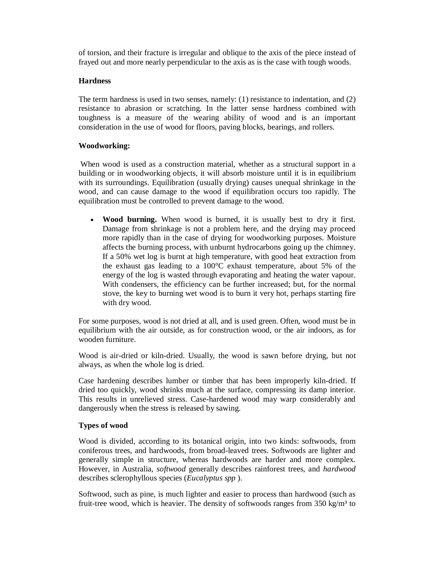of torsion, and their fracture is irregular and oblique to the axis of the piece instead of frayed out and more nearly perpendicular to the axis as is the case with tough woods.

## **Hardness**

The term hardness is used in two senses, namely: (1) resistance to indentation, and (2) resistance to abrasion or scratching. In the latter sense hardness combined with toughness is a measure of the wearing ability of wood and is an important consideration in the use of wood for floors, paving blocks, bearings, and rollers.

## **Woodworking:**

When wood is used as a construction material, whether as a structural support in a building or in woodworking objects, it will absorb moisture until it is in equilibrium with its surroundings. Equilibration (usually drying) causes unequal shrinkage in the wood, and can cause damage to the wood if equilibration occurs too rapidly. The equilibration must be controlled to prevent damage to the wood.

 **Wood burning.** When wood is burned, it is usually best to dry it first. Damage from shrinkage is not a problem here, and the drying may proceed more rapidly than in the case of drying for woodworking purposes. Moisture affects the burning process, with unburnt hydrocarbons going up the chimney. If a 50% wet log is burnt at high temperature, with good heat extraction from the exhaust gas leading to a 100°C exhaust temperature, about 5% of the energy of the log is wasted through evaporating and heating the water vapour. With condensers, the efficiency can be further increased; but, for the normal stove, the key to burning wet wood is to burn it very hot, perhaps starting fire with dry wood.

For some purposes, wood is not dried at all, and is used green. Often, wood must be in equilibrium with the air outside, as for construction wood, or the air indoors, as for wooden furniture.

Wood is air-dried or kiln-dried. Usually, the wood is sawn before drying, but not always, as when the whole log is dried.

Case hardening describes lumber or timber that has been improperly kiln-dried. If dried too quickly, wood shrinks much at the surface, compressing its damp interior. This results in unrelieved stress. Case-hardened wood may warp considerably and dangerously when the stress is released by sawing.

## **Types of wood**

Wood is divided, according to its botanical origin, into two kinds: softwoods, from coniferous trees, and hardwoods, from broad-leaved trees. Softwoods are lighter and generally simple in structure, whereas hardwoods are harder and more complex. However, in Australia, *softwood* generally describes rainforest trees, and *hardwood* describes sclerophyllous species (*Eucalyptus spp* ).

Softwood, such as pine, is much lighter and easier to process than hardwood (such as fruit-tree wood, which is heavier. The density of softwoods ranges from  $350 \text{ kg/m}^3$  to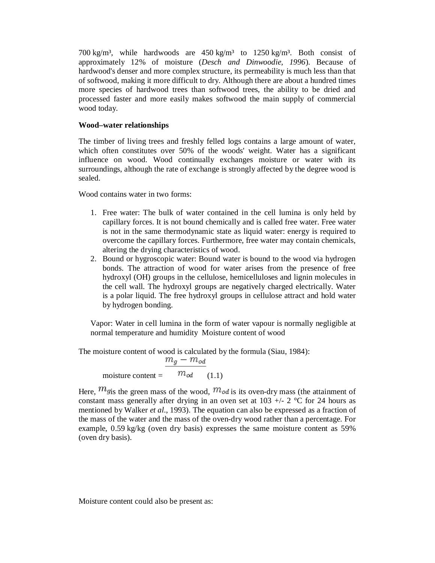700 kg/m<sup>3</sup>, while hardwoods are  $450 \text{ kg/m}^3$  to  $1250 \text{ kg/m}^3$ . Both consist of approximately 12% of moisture (*Desch and Dinwoodie, 1996*). Because of hardwood's denser and more complex structure, its permeability is much less than that of softwood, making it more difficult to dry. Although there are about a hundred times more species of hardwood trees than softwood trees, the ability to be dried and processed faster and more easily makes softwood the main supply of commercial wood today.

### **Wood–water relationships**

The timber of living trees and freshly felled logs contains a large amount of water, which often constitutes over 50% of the woods' weight. Water has a significant influence on wood. Wood continually exchanges moisture or water with its surroundings, although the rate of exchange is strongly affected by the degree wood is sealed.

Wood contains water in two forms:

- 1. Free water: The bulk of water contained in the cell lumina is only held by capillary forces. It is not bound chemically and is called free water. Free water is not in the same thermodynamic state as liquid water: energy is required to overcome the capillary forces. Furthermore, free water may contain chemicals, altering the drying characteristics of wood.
- 2. Bound or hygroscopic water: Bound water is bound to the wood via hydrogen bonds. The attraction of wood for water arises from the presence of free hydroxyl (OH) groups in the cellulose, hemicelluloses and lignin molecules in the cell wall. The hydroxyl groups are negatively charged electrically. Water is a polar liquid. The free hydroxyl groups in cellulose attract and hold water by hydrogen bonding.

Vapor: Water in cell lumina in the form of water vapour is normally negligible at normal temperature and humidity Moisture content of wood

The moisture content of wood is calculated by the formula (Siau, 1984):<br> $m_g - m_{od}$ 

moisture content =  $m_{od}$  (1.1)

Here,  $m_{\text{gis}}$  the green mass of the wood,  $m_{od}$  is its oven-dry mass (the attainment of constant mass generally after drying in an oven set at 103  $+/- 2$  °C for 24 hours as mentioned by Walker *et al.*, 1993). The equation can also be expressed as a fraction of the mass of the water and the mass of the oven-dry wood rather than a percentage. For example, 0.59 kg/kg (oven dry basis) expresses the same moisture content as 59% (oven dry basis).

Moisture content could also be present as: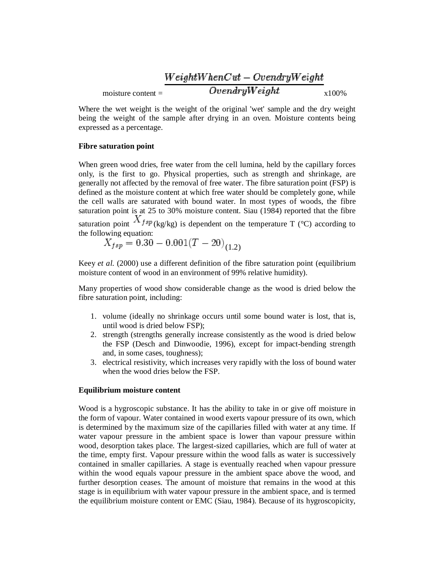$$
\hskip -10.3cm \hskip 1.2cm \hskip 1.2cm \hskip 1.2cm \hskip 1.2cm \hskip 1.2cm \hskip 1.2cm \hskip 1.2cm \hskip 1.2cm \hskip 1.2cm \hskip 1.2cm \hskip 1.2cm \hskip 1.2cm \hskip 1.2cm \hskip 1.2cm \hskip 1.2cm \hskip 1.2cm \hskip 1.2cm \hskip 1.2cm \hskip 1.2cm \hskip 1.2cm \hskip 1.2cm \hskip 1.2cm \hskip 1.2cm \hskip 1.2cm \hskip 1.2cm \hskip 1.2cm \hskip 1.2cm \hskip 1.2cm \hskip 1.2cm \hskip 1.2cm \hskip 1.2cm \hskip 1.2cm \hskip 1.2cm \hskip 1.2cm \hskip 1.2cm \hskip 1.2cm \hskip 1.2cm \hskip 1.2cm \hskip 1.2cm \hskip 1.2cm \hskip 1.2cm \hskip 1.2cm \hskip 1.2cm \hskip 1.2cm \hskip 1.2cm \hskip 1.2cm \hskip 1.2cm \hskip 1.2cm \hskip 1.2cm \hskip 1.2cm \hskip 1.2cm \hskip 1.2cm \hskip 1.2cm \hskip 1.2cm \hskip 1.2cm \hskip 1.2cm \hskip 1.2cm \hskip 1.2cm \hskip 1.2cm \hskip 1.2cm \hskip 1.2cm \hskip 1.2cm \hskip 1.2cm \hskip 1.2cm \hskip 1.2cm \hskip 1.2cm \hskip 1.2cm \hskip 1.2cm \hskip 1.2cm \hskip 1.2cm \hskip 1.2cm \hskip 1.2cm \hskip 1.2cm \hskip 1.2cm \hskip 1.2cm \hskip 1.2cm \hskip 1.2cm \hskip 1.2cm \hskip 1.2cm \hskip 1.2cm \hskip 1.2cm \hskip 1.2cm \hskip 1.2cm \hskip 1.2cm \hskip 1.2cm \hskip 1.2cm \hskip 1.2cm \hskip 1.2cm \hskip 1.2cm \hskip 1.2cm \hskip 1.2cm \hskip 1.2cm \hskip 1.2cm \hskip 1.2
$$

Where the wet weight is the weight of the original 'wet' sample and the dry weight being the weight of the sample after drying in an oven. Moisture contents being expressed as a percentage.

#### **Fibre saturation point**

When green wood dries, free water from the cell lumina, held by the capillary forces only, is the first to go. Physical properties, such as strength and shrinkage, are generally not affected by the removal of free water. The fibre saturation point (FSP) is defined as the moisture content at which free water should be completely gone, while the cell walls are saturated with bound water. In most types of woods, the fibre saturation point is at 25 to 30% moisture content. Siau (1984) reported that the fibre saturation point  $X_{fsp(kg/kg)}$  is dependent on the temperature T (°C) according to the following equation:

$$
X_{fsp} = 0.30 - 0.001(T - 20)_{(1.2)}
$$

Keey *et al.* (2000) use a different definition of the fibre saturation point (equilibrium moisture content of wood in an environment of 99% relative humidity).

Many properties of wood show considerable change as the wood is dried below the fibre saturation point, including:

- 1. volume (ideally no shrinkage occurs until some bound water is lost, that is, until wood is dried below FSP);
- 2. strength (strengths generally increase consistently as the wood is dried below the FSP (Desch and Dinwoodie, 1996), except for impact-bending strength and, in some cases, toughness);
- 3. electrical resistivity, which increases very rapidly with the loss of bound water when the wood dries below the FSP.

#### **Equilibrium moisture content**

Wood is a hygroscopic substance. It has the ability to take in or give off moisture in the form of vapour. Water contained in wood exerts vapour pressure of its own, which is determined by the maximum size of the capillaries filled with water at any time. If water vapour pressure in the ambient space is lower than vapour pressure within wood, desorption takes place. The largest-sized capillaries, which are full of water at the time, empty first. Vapour pressure within the wood falls as water is successively contained in smaller capillaries. A stage is eventually reached when vapour pressure within the wood equals vapour pressure in the ambient space above the wood, and further desorption ceases. The amount of moisture that remains in the wood at this stage is in equilibrium with water vapour pressure in the ambient space, and is termed the equilibrium moisture content or EMC (Siau, 1984). Because of its hygroscopicity,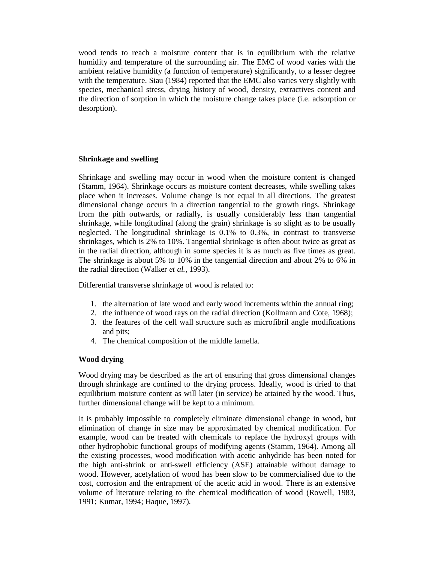wood tends to reach a moisture content that is in equilibrium with the relative humidity and temperature of the surrounding air. The EMC of wood varies with the ambient relative humidity (a function of temperature) significantly, to a lesser degree with the temperature. Siau (1984) reported that the EMC also varies very slightly with species, mechanical stress, drying history of wood, density, extractives content and the direction of sorption in which the moisture change takes place (i.e. adsorption or desorption).

## **Shrinkage and swelling**

Shrinkage and swelling may occur in wood when the moisture content is changed (Stamm, 1964). Shrinkage occurs as moisture content decreases, while swelling takes place when it increases. Volume change is not equal in all directions. The greatest dimensional change occurs in a direction tangential to the growth rings. Shrinkage from the pith outwards, or radially, is usually considerably less than tangential shrinkage, while longitudinal (along the grain) shrinkage is so slight as to be usually neglected. The longitudinal shrinkage is 0.1% to 0.3%, in contrast to transverse shrinkages, which is 2% to 10%. Tangential shrinkage is often about twice as great as in the radial direction, although in some species it is as much as five times as great. The shrinkage is about 5% to 10% in the tangential direction and about 2% to 6% in the radial direction (Walker *et al.*, 1993).

Differential transverse shrinkage of wood is related to:

- 1. the alternation of late wood and early wood increments within the annual ring;
- 2. the influence of wood rays on the radial direction (Kollmann and Cote, 1968);
- 3. the features of the cell wall structure such as microfibril angle modifications and pits;
- 4. The chemical composition of the middle lamella.

## **Wood drying**

Wood drying may be described as the art of ensuring that gross dimensional changes through shrinkage are confined to the drying process. Ideally, wood is dried to that equilibrium moisture content as will later (in service) be attained by the wood. Thus, further dimensional change will be kept to a minimum.

It is probably impossible to completely eliminate dimensional change in wood, but elimination of change in size may be approximated by chemical modification. For example, wood can be treated with chemicals to replace the hydroxyl groups with other hydrophobic functional groups of modifying agents (Stamm, 1964). Among all the existing processes, wood modification with acetic anhydride has been noted for the high anti-shrink or anti-swell efficiency (ASE) attainable without damage to wood. However, acetylation of wood has been slow to be commercialised due to the cost, corrosion and the entrapment of the acetic acid in wood. There is an extensive volume of literature relating to the chemical modification of wood (Rowell, 1983, 1991; Kumar, 1994; Haque, 1997).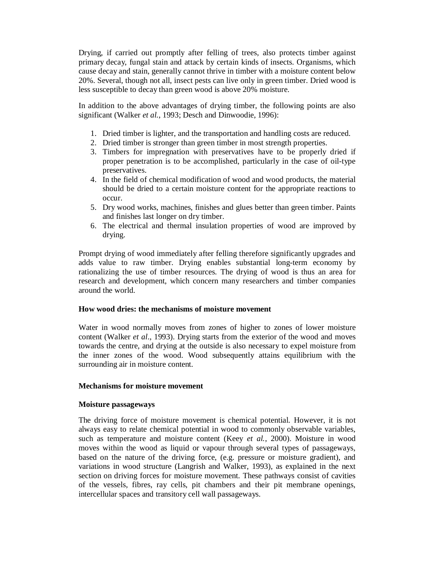Drying, if carried out promptly after felling of trees, also protects timber against primary decay, fungal stain and attack by certain kinds of insects. Organisms, which cause decay and stain, generally cannot thrive in timber with a moisture content below 20%. Several, though not all, insect pests can live only in green timber. Dried wood is less susceptible to decay than green wood is above 20% moisture.

In addition to the above advantages of drying timber, the following points are also significant (Walker *et al.*, 1993; Desch and Dinwoodie, 1996):

- 1. Dried timber is lighter, and the transportation and handling costs are reduced.
- 2. Dried timber is stronger than green timber in most strength properties.
- 3. Timbers for impregnation with preservatives have to be properly dried if proper penetration is to be accomplished, particularly in the case of oil-type preservatives.
- 4. In the field of chemical modification of wood and wood products, the material should be dried to a certain moisture content for the appropriate reactions to occur.
- 5. Dry wood works, machines, finishes and glues better than green timber. Paints and finishes last longer on dry timber.
- 6. The electrical and thermal insulation properties of wood are improved by drying.

Prompt drying of wood immediately after felling therefore significantly upgrades and adds value to raw timber. Drying enables substantial long-term economy by rationalizing the use of timber resources. The drying of wood is thus an area for research and development, which concern many researchers and timber companies around the world.

## **How wood dries: the mechanisms of moisture movement**

Water in wood normally moves from zones of higher to zones of lower moisture content (Walker *et al.*, 1993). Drying starts from the exterior of the wood and moves towards the centre, and drying at the outside is also necessary to expel moisture from the inner zones of the wood. Wood subsequently attains equilibrium with the surrounding air in moisture content.

## **Mechanisms for moisture movement**

## **Moisture passageways**

The driving force of moisture movement is chemical potential. However, it is not always easy to relate chemical potential in wood to commonly observable variables, such as temperature and moisture content (Keey *et al.*, 2000). Moisture in wood moves within the wood as liquid or vapour through several types of passageways, based on the nature of the driving force, (e.g. pressure or moisture gradient), and variations in wood structure (Langrish and Walker, 1993), as explained in the next section on driving forces for moisture movement. These pathways consist of cavities of the vessels, fibres, ray cells, pit chambers and their pit membrane openings, intercellular spaces and transitory cell wall passageways.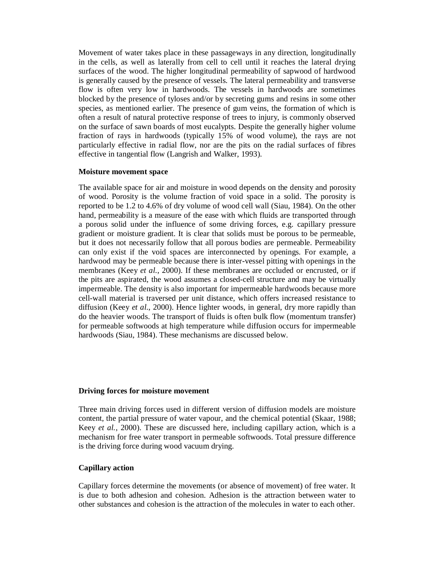Movement of water takes place in these passageways in any direction, longitudinally in the cells, as well as laterally from cell to cell until it reaches the lateral drying surfaces of the wood. The higher longitudinal permeability of sapwood of hardwood is generally caused by the presence of vessels. The lateral permeability and transverse flow is often very low in hardwoods. The vessels in hardwoods are sometimes blocked by the presence of tyloses and/or by secreting gums and resins in some other species, as mentioned earlier. The presence of gum veins, the formation of which is often a result of natural protective response of trees to injury, is commonly observed on the surface of sawn boards of most eucalypts. Despite the generally higher volume fraction of rays in hardwoods (typically 15% of wood volume), the rays are not particularly effective in radial flow, nor are the pits on the radial surfaces of fibres effective in tangential flow (Langrish and Walker, 1993).

#### **Moisture movement space**

The available space for air and moisture in wood depends on the density and porosity of wood. Porosity is the volume fraction of void space in a solid. The porosity is reported to be 1.2 to 4.6% of dry volume of wood cell wall (Siau, 1984). On the other hand, permeability is a measure of the ease with which fluids are transported through a porous solid under the influence of some driving forces, e.g. capillary pressure gradient or moisture gradient. It is clear that solids must be porous to be permeable, but it does not necessarily follow that all porous bodies are permeable. Permeability can only exist if the void spaces are interconnected by openings. For example, a hardwood may be permeable because there is inter-vessel pitting with openings in the membranes (Keey *et al.*, 2000). If these membranes are occluded or encrusted, or if the pits are aspirated, the wood assumes a closed-cell structure and may be virtually impermeable. The density is also important for impermeable hardwoods because more cell-wall material is traversed per unit distance, which offers increased resistance to diffusion (Keey *et al.*, 2000). Hence lighter woods, in general, dry more rapidly than do the heavier woods. The transport of fluids is often bulk flow (momentum transfer) for permeable softwoods at high temperature while diffusion occurs for impermeable hardwoods (Siau, 1984). These mechanisms are discussed below.

## **Driving forces for moisture movement**

Three main driving forces used in different version of diffusion models are moisture content, the partial pressure of water vapour, and the chemical potential (Skaar, 1988; Keey *et al.*, 2000). These are discussed here, including capillary action, which is a mechanism for free water transport in permeable softwoods. Total pressure difference is the driving force during wood vacuum drying.

#### **Capillary action**

Capillary forces determine the movements (or absence of movement) of free water. It is due to both adhesion and cohesion. Adhesion is the attraction between water to other substances and cohesion is the attraction of the molecules in water to each other.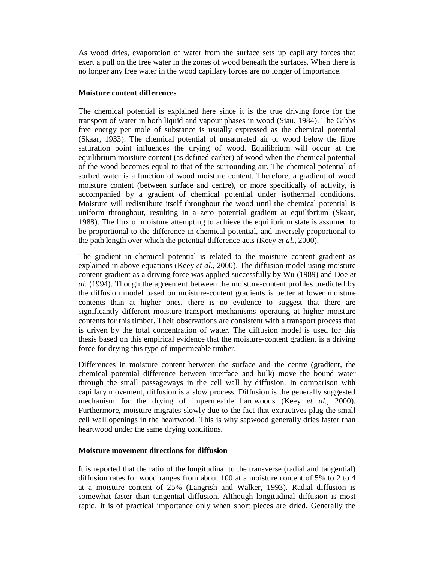As wood dries, evaporation of water from the surface sets up capillary forces that exert a pull on the free water in the zones of wood beneath the surfaces. When there is no longer any free water in the wood capillary forces are no longer of importance.

#### **Moisture content differences**

The chemical potential is explained here since it is the true driving force for the transport of water in both liquid and vapour phases in wood (Siau, 1984). The Gibbs free energy per mole of substance is usually expressed as the chemical potential (Skaar, 1933). The chemical potential of unsaturated air or wood below the fibre saturation point influences the drying of wood. Equilibrium will occur at the equilibrium moisture content (as defined earlier) of wood when the chemical potential of the wood becomes equal to that of the surrounding air. The chemical potential of sorbed water is a function of wood moisture content. Therefore, a gradient of wood moisture content (between surface and centre), or more specifically of activity, is accompanied by a gradient of chemical potential under isothermal conditions. Moisture will redistribute itself throughout the wood until the chemical potential is uniform throughout, resulting in a zero potential gradient at equilibrium (Skaar, 1988). The flux of moisture attempting to achieve the equilibrium state is assumed to be proportional to the difference in chemical potential, and inversely proportional to the path length over which the potential difference acts (Keey *et al.*, 2000).

The gradient in chemical potential is related to the moisture content gradient as explained in above equations (Keey *et al.*, 2000). The diffusion model using moisture content gradient as a driving force was applied successfully by Wu (1989) and Doe *et al.* (1994). Though the agreement between the moisture-content profiles predicted by the diffusion model based on moisture-content gradients is better at lower moisture contents than at higher ones, there is no evidence to suggest that there are significantly different moisture-transport mechanisms operating at higher moisture contents for this timber. Their observations are consistent with a transport process that is driven by the total concentration of water. The diffusion model is used for this thesis based on this empirical evidence that the moisture-content gradient is a driving force for drying this type of impermeable timber.

Differences in moisture content between the surface and the centre (gradient, the chemical potential difference between interface and bulk) move the bound water through the small passageways in the cell wall by diffusion. In comparison with capillary movement, diffusion is a slow process. Diffusion is the generally suggested mechanism for the drying of impermeable hardwoods (Keey *et al.*, 2000). Furthermore, moisture migrates slowly due to the fact that extractives plug the small cell wall openings in the heartwood. This is why sapwood generally dries faster than heartwood under the same drying conditions.

#### **Moisture movement directions for diffusion**

It is reported that the ratio of the longitudinal to the transverse (radial and tangential) diffusion rates for wood ranges from about 100 at a moisture content of 5% to 2 to 4 at a moisture content of 25% (Langrish and Walker, 1993). Radial diffusion is somewhat faster than tangential diffusion. Although longitudinal diffusion is most rapid, it is of practical importance only when short pieces are dried. Generally the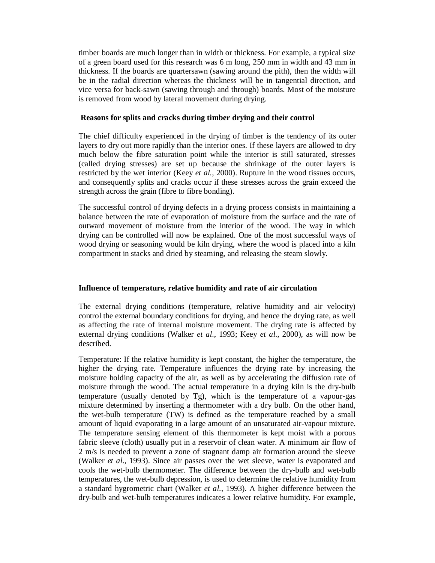timber boards are much longer than in width or thickness. For example, a typical size of a green board used for this research was 6 m long, 250 mm in width and 43 mm in thickness. If the boards are quartersawn (sawing around the pith), then the width will be in the radial direction whereas the thickness will be in tangential direction, and vice versa for back-sawn (sawing through and through) boards. Most of the moisture is removed from wood by lateral movement during drying.

#### **Reasons for splits and cracks during timber drying and their control**

The chief difficulty experienced in the drying of timber is the tendency of its outer layers to dry out more rapidly than the interior ones. If these layers are allowed to dry much below the fibre saturation point while the interior is still saturated, stresses (called drying stresses) are set up because the shrinkage of the outer layers is restricted by the wet interior (Keey *et al.*, 2000). Rupture in the wood tissues occurs, and consequently splits and cracks occur if these stresses across the grain exceed the strength across the grain (fibre to fibre bonding).

The successful control of drying defects in a drying process consists in maintaining a balance between the rate of evaporation of moisture from the surface and the rate of outward movement of moisture from the interior of the wood. The way in which drying can be controlled will now be explained. One of the most successful ways of wood drying or seasoning would be kiln drying, where the wood is placed into a kiln compartment in stacks and dried by steaming, and releasing the steam slowly.

## **Influence of temperature, relative humidity and rate of air circulation**

The external drying conditions (temperature, relative humidity and air velocity) control the external boundary conditions for drying, and hence the drying rate, as well as affecting the rate of internal moisture movement. The drying rate is affected by external drying conditions (Walker *et al.*, 1993; Keey *et al.*, 2000), as will now be described.

Temperature: If the relative humidity is kept constant, the higher the temperature, the higher the drying rate. Temperature influences the drying rate by increasing the moisture holding capacity of the air, as well as by accelerating the diffusion rate of moisture through the wood. The actual temperature in a drying kiln is the dry-bulb temperature (usually denoted by Tg), which is the temperature of a vapour-gas mixture determined by inserting a thermometer with a dry bulb. On the other hand, the wet-bulb temperature (TW) is defined as the temperature reached by a small amount of liquid evaporating in a large amount of an unsaturated air-vapour mixture. The temperature sensing element of this thermometer is kept moist with a porous fabric sleeve (cloth) usually put in a reservoir of clean water. A minimum air flow of 2 m/s is needed to prevent a zone of stagnant damp air formation around the sleeve (Walker *et al.*, 1993). Since air passes over the wet sleeve, water is evaporated and cools the wet-bulb thermometer. The difference between the dry-bulb and wet-bulb temperatures, the wet-bulb depression, is used to determine the relative humidity from a standard hygrometric chart (Walker *et al.*, 1993). A higher difference between the dry-bulb and wet-bulb temperatures indicates a lower relative humidity. For example,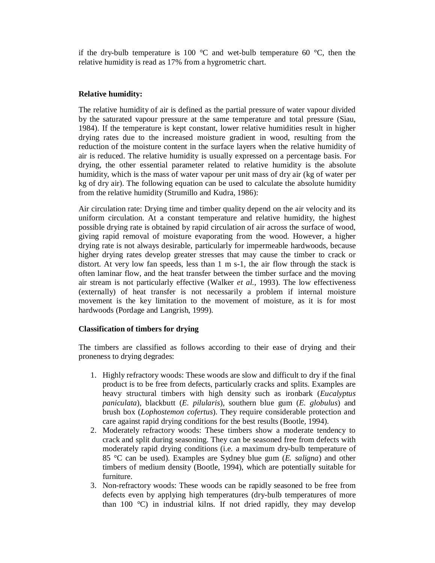if the dry-bulb temperature is 100  $\degree$ C and wet-bulb temperature 60  $\degree$ C, then the relative humidity is read as 17% from a hygrometric chart.

## **Relative humidity:**

The relative humidity of air is defined as the partial pressure of water vapour divided by the saturated vapour pressure at the same temperature and total pressure (Siau, 1984). If the temperature is kept constant, lower relative humidities result in higher drying rates due to the increased moisture gradient in wood, resulting from the reduction of the moisture content in the surface layers when the relative humidity of air is reduced. The relative humidity is usually expressed on a percentage basis. For drying, the other essential parameter related to relative humidity is the absolute humidity, which is the mass of water vapour per unit mass of dry air (kg of water per kg of dry air). The following equation can be used to calculate the absolute humidity from the relative humidity (Strumillo and Kudra, 1986):

Air circulation rate: Drying time and timber quality depend on the air velocity and its uniform circulation. At a constant temperature and relative humidity, the highest possible drying rate is obtained by rapid circulation of air across the surface of wood, giving rapid removal of moisture evaporating from the wood. However, a higher drying rate is not always desirable, particularly for impermeable hardwoods, because higher drying rates develop greater stresses that may cause the timber to crack or distort. At very low fan speeds, less than 1 m s-1, the air flow through the stack is often laminar flow, and the heat transfer between the timber surface and the moving air stream is not particularly effective (Walker *et al.*, 1993). The low effectiveness (externally) of heat transfer is not necessarily a problem if internal moisture movement is the key limitation to the movement of moisture, as it is for most hardwoods (Pordage and Langrish, 1999).

#### **Classification of timbers for drying**

The timbers are classified as follows according to their ease of drying and their proneness to drying degrades:

- 1. Highly refractory woods: These woods are slow and difficult to dry if the final product is to be free from defects, particularly cracks and splits. Examples are heavy structural timbers with high density such as ironbark (*Eucalyptus paniculata*), blackbutt (*E. pilularis*), southern blue gum (*E. globulus*) and brush box (*Lophostemon cofertus*). They require considerable protection and care against rapid drying conditions for the best results (Bootle, 1994).
- 2. Moderately refractory woods: These timbers show a moderate tendency to crack and split during seasoning. They can be seasoned free from defects with moderately rapid drying conditions (i.e. a maximum dry-bulb temperature of 85 °C can be used). Examples are Sydney blue gum (*E. saligna*) and other timbers of medium density (Bootle, 1994), which are potentially suitable for furniture.
- 3. Non-refractory woods: These woods can be rapidly seasoned to be free from defects even by applying high temperatures (dry-bulb temperatures of more than 100 °C) in industrial kilns. If not dried rapidly, they may develop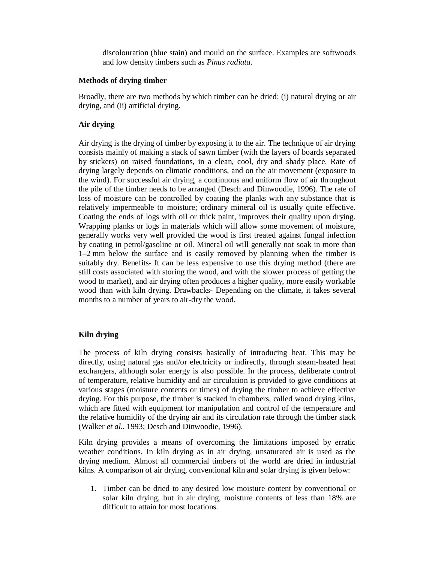discolouration (blue stain) and mould on the surface. Examples are softwoods and low density timbers such as *Pinus radiata*.

#### **Methods of drying timber**

Broadly, there are two methods by which timber can be dried: (i) natural drying or air drying, and (ii) artificial drying.

## **Air drying**

Air drying is the drying of timber by exposing it to the air. The technique of air drying consists mainly of making a stack of sawn timber (with the layers of boards separated by stickers) on raised foundations, in a clean, cool, dry and shady place. Rate of drying largely depends on climatic conditions, and on the air movement (exposure to the wind). For successful air drying, a continuous and uniform flow of air throughout the pile of the timber needs to be arranged (Desch and Dinwoodie, 1996). The rate of loss of moisture can be controlled by coating the planks with any substance that is relatively impermeable to moisture; ordinary mineral oil is usually quite effective. Coating the ends of logs with oil or thick paint, improves their quality upon drying. Wrapping planks or logs in materials which will allow some movement of moisture, generally works very well provided the wood is first treated against fungal infection by coating in petrol/gasoline or oil. Mineral oil will generally not soak in more than 1–2 mm below the surface and is easily removed by planning when the timber is suitably dry. Benefits- It can be less expensive to use this drying method (there are still costs associated with storing the wood, and with the slower process of getting the wood to market), and air drying often produces a higher quality, more easily workable wood than with kiln drying. Drawbacks- Depending on the climate, it takes several months to a number of years to air-dry the wood.

## **Kiln drying**

The process of kiln drying consists basically of introducing heat. This may be directly, using natural gas and/or electricity or indirectly, through steam-heated heat exchangers, although solar energy is also possible. In the process, deliberate control of temperature, relative humidity and air circulation is provided to give conditions at various stages (moisture contents or times) of drying the timber to achieve effective drying. For this purpose, the timber is stacked in chambers, called wood drying kilns, which are fitted with equipment for manipulation and control of the temperature and the relative humidity of the drying air and its circulation rate through the timber stack (Walker *et al.*, 1993; Desch and Dinwoodie, 1996).

Kiln drying provides a means of overcoming the limitations imposed by erratic weather conditions. In kiln drying as in air drying, unsaturated air is used as the drying medium. Almost all commercial timbers of the world are dried in industrial kilns. A comparison of air drying, conventional kiln and solar drying is given below:

1. Timber can be dried to any desired low moisture content by conventional or solar kiln drying, but in air drying, moisture contents of less than 18% are difficult to attain for most locations.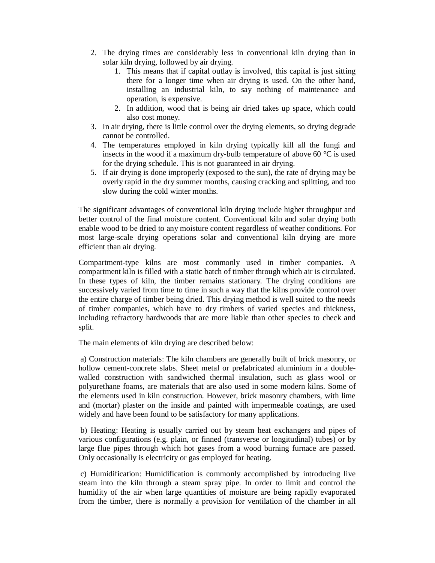- 2. The drying times are considerably less in conventional kiln drying than in solar kiln drying, followed by air drying.
	- 1. This means that if capital outlay is involved, this capital is just sitting there for a longer time when air drying is used. On the other hand, installing an industrial kiln, to say nothing of maintenance and operation, is expensive.
	- 2. In addition, wood that is being air dried takes up space, which could also cost money.
- 3. In air drying, there is little control over the drying elements, so drying degrade cannot be controlled.
- 4. The temperatures employed in kiln drying typically kill all the fungi and insects in the wood if a maximum dry-bulb temperature of above 60 °C is used for the drying schedule. This is not guaranteed in air drying.
- 5. If air drying is done improperly (exposed to the sun), the rate of drying may be overly rapid in the dry summer months, causing cracking and splitting, and too slow during the cold winter months.

The significant advantages of conventional kiln drying include higher throughput and better control of the final moisture content. Conventional kiln and solar drying both enable wood to be dried to any moisture content regardless of weather conditions. For most large-scale drying operations solar and conventional kiln drying are more efficient than air drying.

Compartment-type kilns are most commonly used in timber companies. A compartment kiln is filled with a static batch of timber through which air is circulated. In these types of kiln, the timber remains stationary. The drying conditions are successively varied from time to time in such a way that the kilns provide control over the entire charge of timber being dried. This drying method is well suited to the needs of timber companies, which have to dry timbers of varied species and thickness, including refractory hardwoods that are more liable than other species to check and split.

The main elements of kiln drying are described below:

a) Construction materials: The kiln chambers are generally built of brick masonry, or hollow cement-concrete slabs. Sheet metal or prefabricated aluminium in a doublewalled construction with sandwiched thermal insulation, such as glass wool or polyurethane foams, are materials that are also used in some modern kilns. Some of the elements used in kiln construction. However, brick masonry chambers, with lime and (mortar) plaster on the inside and painted with impermeable coatings, are used widely and have been found to be satisfactory for many applications.

b) Heating: Heating is usually carried out by steam heat exchangers and pipes of various configurations (e.g. plain, or finned (transverse or longitudinal) tubes) or by large flue pipes through which hot gases from a wood burning furnace are passed. Only occasionally is electricity or gas employed for heating.

c) Humidification: Humidification is commonly accomplished by introducing live steam into the kiln through a steam spray pipe. In order to limit and control the humidity of the air when large quantities of moisture are being rapidly evaporated from the timber, there is normally a provision for ventilation of the chamber in all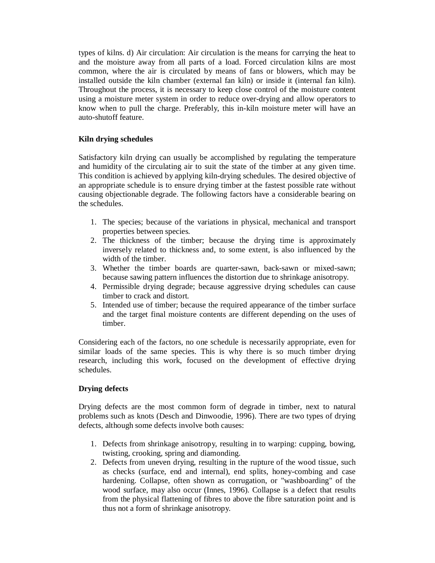types of kilns. d) Air circulation: Air circulation is the means for carrying the heat to and the moisture away from all parts of a load. Forced circulation kilns are most common, where the air is circulated by means of fans or blowers, which may be installed outside the kiln chamber (external fan kiln) or inside it (internal fan kiln). Throughout the process, it is necessary to keep close control of the moisture content using a moisture meter system in order to reduce over-drying and allow operators to know when to pull the charge. Preferably, this in-kiln moisture meter will have an auto-shutoff feature.

## **Kiln drying schedules**

Satisfactory kiln drying can usually be accomplished by regulating the temperature and humidity of the circulating air to suit the state of the timber at any given time. This condition is achieved by applying kiln-drying schedules. The desired objective of an appropriate schedule is to ensure drying timber at the fastest possible rate without causing objectionable degrade. The following factors have a considerable bearing on the schedules.

- 1. The species; because of the variations in physical, mechanical and transport properties between species.
- 2. The thickness of the timber; because the drying time is approximately inversely related to thickness and, to some extent, is also influenced by the width of the timber.
- 3. Whether the timber boards are quarter-sawn, back-sawn or mixed-sawn; because sawing pattern influences the distortion due to shrinkage anisotropy.
- 4. Permissible drying degrade; because aggressive drying schedules can cause timber to crack and distort.
- 5. Intended use of timber; because the required appearance of the timber surface and the target final moisture contents are different depending on the uses of timber.

Considering each of the factors, no one schedule is necessarily appropriate, even for similar loads of the same species. This is why there is so much timber drying research, including this work, focused on the development of effective drying schedules.

## **Drying defects**

Drying defects are the most common form of degrade in timber, next to natural problems such as knots (Desch and Dinwoodie, 1996). There are two types of drying defects, although some defects involve both causes:

- 1. Defects from shrinkage anisotropy, resulting in to warping: cupping, bowing, twisting, crooking, spring and diamonding.
- 2. Defects from uneven drying, resulting in the rupture of the wood tissue, such as checks (surface, end and internal), end splits, honey-combing and case hardening. Collapse, often shown as corrugation, or "washboarding" of the wood surface, may also occur (Innes, 1996). Collapse is a defect that results from the physical flattening of fibres to above the fibre saturation point and is thus not a form of shrinkage anisotropy.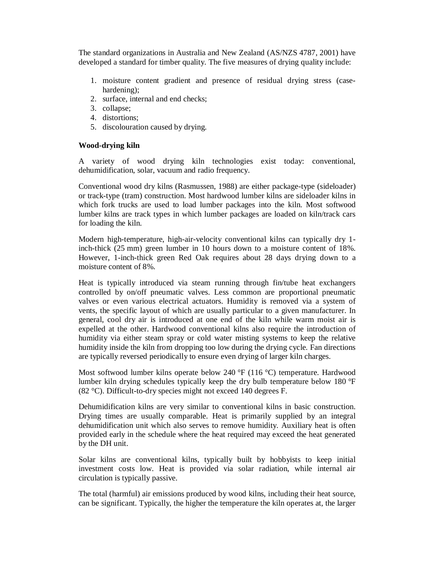The standard organizations in Australia and New Zealand (AS/NZS 4787, 2001) have developed a standard for timber quality. The five measures of drying quality include:

- 1. moisture content gradient and presence of residual drying stress (casehardening);
- 2. surface, internal and end checks;
- 3. collapse;
- 4. distortions;
- 5. discolouration caused by drying.

#### **Wood-drying kiln**

A variety of wood drying kiln technologies exist today: conventional, dehumidification, solar, vacuum and radio frequency.

Conventional wood dry kilns (Rasmussen, 1988) are either package-type (sideloader) or track-type (tram) construction. Most hardwood lumber kilns are sideloader kilns in which fork trucks are used to load lumber packages into the kiln. Most softwood lumber kilns are track types in which lumber packages are loaded on kiln/track cars for loading the kiln.

Modern high-temperature, high-air-velocity conventional kilns can typically dry 1 inch-thick (25 mm) green lumber in 10 hours down to a moisture content of 18%. However, 1-inch-thick green Red Oak requires about 28 days drying down to a moisture content of 8%.

Heat is typically introduced via steam running through fin/tube heat exchangers controlled by on/off pneumatic valves. Less common are proportional pneumatic valves or even various electrical actuators. Humidity is removed via a system of vents, the specific layout of which are usually particular to a given manufacturer. In general, cool dry air is introduced at one end of the kiln while warm moist air is expelled at the other. Hardwood conventional kilns also require the introduction of humidity via either steam spray or cold water misting systems to keep the relative humidity inside the kiln from dropping too low during the drying cycle. Fan directions are typically reversed periodically to ensure even drying of larger kiln charges.

Most softwood lumber kilns operate below 240 °F (116 °C) temperature. Hardwood lumber kiln drying schedules typically keep the dry bulb temperature below 180 °F (82 °C). Difficult-to-dry species might not exceed 140 degrees F.

Dehumidification kilns are very similar to conventional kilns in basic construction. Drying times are usually comparable. Heat is primarily supplied by an integral dehumidification unit which also serves to remove humidity. Auxiliary heat is often provided early in the schedule where the heat required may exceed the heat generated by the DH unit.

Solar kilns are conventional kilns, typically built by hobbyists to keep initial investment costs low. Heat is provided via solar radiation, while internal air circulation is typically passive.

The total (harmful) air emissions produced by wood kilns, including their heat source, can be significant. Typically, the higher the temperature the kiln operates at, the larger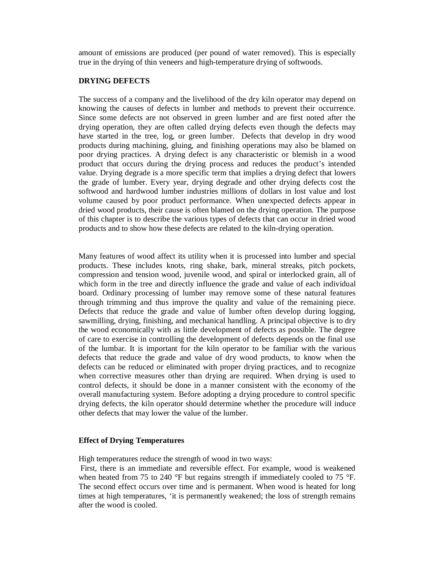amount of emissions are produced (per pound of water removed). This is especially true in the drying of thin veneers and high-temperature drying of softwoods.

#### **DRYING DEFECTS**

The success of a company and the livelihood of the dry kiln operator may depend on knowing the causes of defects in lumber and methods to prevent their occurrence. Since some defects are not observed in green lumber and are first noted after the drying operation, they are often called drying defects even though the defects may have started in the tree, log, or green lumber. Defects that develop in dry wood products during machining, gluing, and finishing operations may also be blamed on poor drying practices. A drying defect is any characteristic or blemish in a wood product that occurs during the drying process and reduces the product's intended value. Drying degrade is a more specific term that implies a drying defect that lowers the grade of lumber. Every year, drying degrade and other drying defects cost the softwood and hardwood lumber industries millions of dollars in lost value and lost volume caused by poor product performance. When unexpected defects appear in dried wood products, their cause is often blamed on the drying operation. The purpose of this chapter is to describe the various types of defects that can occur in dried wood products and to show how these defects are related to the kiln-drying operation.

Many features of wood affect its utility when it is processed into lumber and special products. These includes knots, ring shake, bark, mineral streaks, pitch pockets, compression and tension wood, juvenile wood, and spiral or interlocked grain, all of which form in the tree and directly influence the grade and value of each individual board. Ordinary processing of lumber may remove some of these natural features through trimming and thus improve the quality and value of the remaining piece. Defects that reduce the grade and value of lumber often develop during logging, sawmilling, drying, finishing, and mechanical handling. A principal objective is to dry the wood economically with as little development of defects as possible. The degree of care to exercise in controlling the development of defects depends on the final use of the lumbar. It is important for the kiln operator to be familiar with the various defects that reduce the grade and value of dry wood products, to know when the defects can be reduced or eliminated with proper drying practices, and to recognize when corrective measures other than drying are required. When drying is used to control defects, it should be done in a manner consistent with the economy of the overall manufacturing system. Before adopting a drying procedure to control specific drying defects, the kiln operator should determine whether the procedure will induce other defects that may lower the value of the lumber.

#### **Effect of Drying Temperatures**

High temperatures reduce the strength of wood in two ways:

First, there is an immediate and reversible effect. For example, wood is weakened when heated from 75 to 240 °F but regains strength if immediately cooled to 75 °F. The second effect occurs over time and is permanent. When wood is heated for long times at high temperatures, 'it is permanently weakened; the loss of strength remains after the wood is cooled.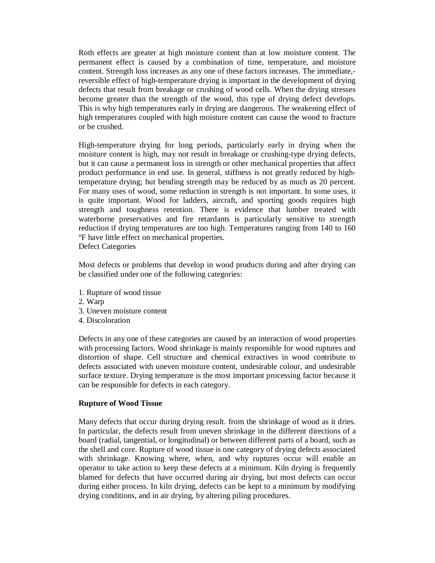Roth effects are greater at high moisture content than at low moisture content. The permanent effect is caused by a combination of time, temperature, and moisture content. Strength loss increases as any one of these factors increases. The immediate, reversible effect of high-temperature drying is important in the development of drying defects that result from breakage or crushing of wood cells. When the drying stresses become greater than the strength of the wood, this type of drying defect develops. This is why high temperatures early in drying are dangerous. The weakening effect of high temperatures coupled with high moisture content can cause the wood to fracture or be crushed.

High-temperature drying for long periods, particularly early in drying when the moisture content is high, may not result in breakage or crushing-type drying defects, but it can cause a permanent loss in strength or other mechanical properties that affect product performance in end use. In general, stiffness is not greatly reduced by hightemperature drying; hut bending strength may be reduced by as much as 20 percent. For many uses of wood, some reduction in strength is not important. In some uses, it is quite important. Wood for ladders, aircraft, and sporting goods requires high strength and toughness retention. There is evidence that lumber treated with waterborne preservatives and fire retardants is particularly sensitive to strength reduction if drying temperatures are too high. Temperatures ranging from 140 to 160 °F have little effect on mechanical properties. Defect Categories

Most defects or problems that develop in wood products during and after drying can be classified under one of the following categories:

- 1. Rupture of wood tissue
- 2. Warp
- 3. Uneven moisture content
- 4. Discoloration

Defects in any one of these categories are caused by an interaction of wood properties with processing factors. Wood shrinkage is mainly responsible for wood ruptures and distortion of shape. Cell structure and chemical extractives in wood contribute to defects associated with uneven moisture content, undesirable colour, and undesirable surface texture. Drying temperature is the most important processing factor because it can be responsible for defects in each category.

#### **Rupture of Wood Tissue**

Many defects that occur during drying result. from the shrinkage of wood as it dries. In particular, the defects result from uneven shrinkage in the different directions of a board (radial, tangential, or longitudinal) or between different parts of a board, such as the shell and core. Rupture of wood tissue is one category of drying defects associated with shrinkage. Knowing where, when, and why ruptures occur will enable an operator to take action to keep these defects at a minimum. Kiln drying is frequently blamed for defects that have occurred during air drying, but most defects can occur during either process. In kiln drying, defects can be kept to a minimum by modifying drying conditions, and in air drying, by altering piling procedures.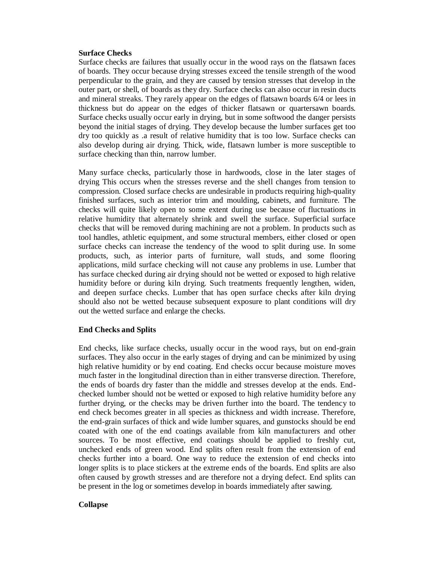## **Surface Checks**

Surface checks are failures that usually occur in the wood rays on the flatsawn faces of boards. They occur because drying stresses exceed the tensile strength of the wood perpendicular to the grain, and they are caused by tension stresses that develop in the outer part, or shell, of boards as they dry. Surface checks can also occur in resin ducts and mineral streaks. They rarely appear on the edges of flatsawn boards 6/4 or lees in thickness but do appear on the edges of thicker flatsawn or quartersawn boards. Surface checks usually occur early in drying, but in some softwood the danger persists beyond the initial stages of drying. They develop because the lumber surfaces get too dry too quickly as .a result of relative humidity that is too low. Surface checks can also develop during air drying. Thick, wide, flatsawn lumber is more susceptible to surface checking than thin, narrow lumber.

Many surface checks, particularly those in hardwoods, close in the later stages of drying This occurs when the stresses reverse and the shell changes from tension to compression. Closed surface checks are undesirable in products requiring high-quality finished surfaces, such as interior trim and moulding, cabinets, and furniture. The checks will quite likely open to some extent during use because of fluctuations in relative humidity that alternately shrink and swell the surface. Superficial surface checks that will be removed during machining are not a problem. In products such as tool handles, athletic equipment, and some structural members, either closed or open surface checks can increase the tendency of the wood to split during use. In some products, such, as interior parts of furniture, wall studs, and some flooring applications, mild surface checking will not cause any problems in use. Lumber that has surface checked during air drying should not be wetted or exposed to high relative humidity before or during kiln drying. Such treatments frequently lengthen, widen, and deepen surface checks. Lumber that has open surface checks after kiln drying should also not be wetted because subsequent exposure to plant conditions will dry out the wetted surface and enlarge the checks.

## **End Checks and Splits**

End checks, like surface checks, usually occur in the wood rays, but on end-grain surfaces. They also occur in the early stages of drying and can be minimized by using high relative humidity or by end coating. End checks occur because moisture moves much faster in the longitudinal direction than in either transverse direction. Therefore, the ends of boards dry faster than the middle and stresses develop at the ends. Endchecked lumber should not be wetted or exposed to high relative humidity before any further drying, or the checks may be driven further into the board. The tendency to end check becomes greater in all species as thickness and width increase. Therefore, the end-grain surfaces of thick and wide lumber squares, and gunstocks should be end coated with one of the end coatings available from kiln manufacturers and other sources. To be most effective, end coatings should be applied to freshly cut, unchecked ends of green wood. End splits often result from the extension of end checks further into a board. One way to reduce the extension of end checks into longer splits is to place stickers at the extreme ends of the boards. End splits are also often caused by growth stresses and are therefore not a drying defect. End splits can be present in the log or sometimes develop in boards immediately after sawing.

## **Collapse**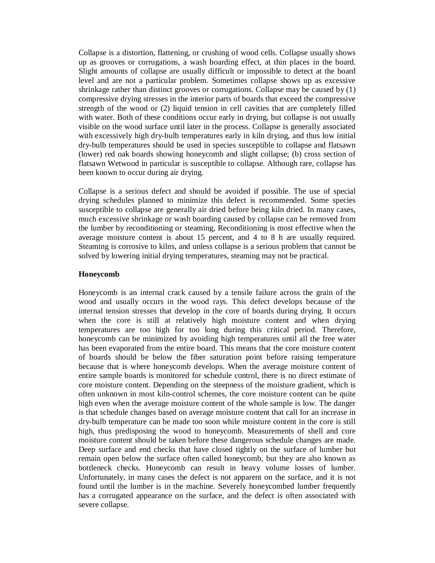Collapse is a distortion, flattening, or crushing of wood cells. Collapse usually shows up as grooves or corrugations, a wash boarding effect, at thin places in the board. Slight amounts of collapse are usually difficult or impossible to detect at the board level and are not a particular problem. Sometimes collapse shows up as excessive shrinkage rather than distinct grooves or corrugations. Collapse may be caused by (1) compressive drying stresses in the interior parts of boards that exceed the compressive strength of the wood or (2) liquid tension in cell cavities that are completely filled with water. Both of these conditions occur early in drying, but collapse is not usually visible on the wood surface until later in the process. Collapse is generally associated with excessively high dry-bulb temperatures early in kiln drying, and thus low initial dry-bulb temperatures should be used in species susceptible to collapse and flatsawn (lower) red oak boards showing honeycomb and slight collapse; (b) cross section of flatsawn Wetwood in particular is susceptible to collapse. Although rare, collapse has been known to occur during air drying.

Collapse is a serious defect and should be avoided if possible. The use of special drying schedules planned to minimize this defect is recommended. Some species susceptible to collapse are generally air dried before being kiln dried. In many cases, much excessive shrinkage or wash boarding caused by collapse can be removed from the lumber by reconditioning or steaming, Reconditioning is most effective when the average moisture content is about 15 percent, and 4 to 8 h are usually required. Steaming is corrosive to kilns, and unless collapse is a serious problem that cannot be solved by lowering initial drying temperatures, steaming may not be practical.

#### **Honeycomb**

Honeycomb is an internal crack caused by a tensile failure across the grain of the wood and usually occurs in the wood rays. This defect develops because of the internal tension stresses that develop in the core of boards during drying. It occurs when the core is still at relatively high moisture content and when drying temperatures are too high for too long during this critical period. Therefore, honeycomb can be minimized by avoiding high temperatures until all the free water has been evaporated from the entire board. This means that the core moisture content of boards should be below the fiber saturation point before raising temperature because that is where honeycomb develops. When the average moisture content of entire sample boards is monitored for schedule control, there is no direct estimate of core moisture content. Depending on the steepness of the moisture gradient, which is often unknown in most kiln-control schemes, the core moisture content can be quite high even when the average moisture content of the whole sample is low. The danger is that schedule changes based on average moisture content that call for an increase in dry-bulb temperature can be made too soon while moisture content in the core is still high, thus predisposing the wood to honeycomb. Measurements of shell and core moisture content should be taken before these dangerous schedule changes are made. Deep surface and end checks that have closed tightly on the surface of lumber but remain open below the surface often called honeycomb, but they are also known as bottleneck checks. Honeycomb can result in heavy volume losses of lumber. Unfortunately, in many cases the defect is not apparent on the surface, and it is not found until the lumber is in the machine. Severely honeycombed lumber frequently has a corrugated appearance on the surface, and the defect is often associated with severe collapse.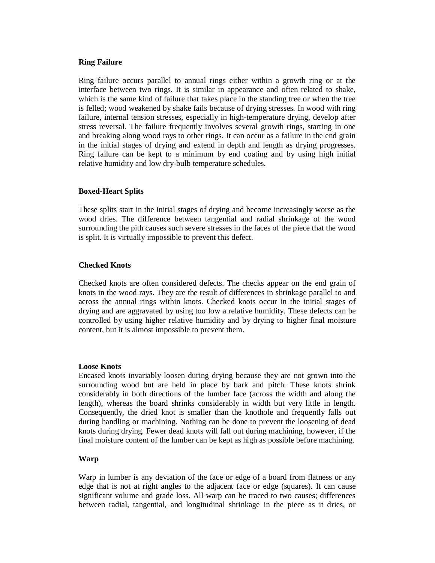#### **Ring Failure**

Ring failure occurs parallel to annual rings either within a growth ring or at the interface between two rings. It is similar in appearance and often related to shake, which is the same kind of failure that takes place in the standing tree or when the tree is felled; wood weakened by shake fails because of drying stresses. In wood with ring failure, internal tension stresses, especially in high-temperature drying, develop after stress reversal. The failure frequently involves several growth rings, starting in one and breaking along wood rays to other rings. It can occur as a failure in the end grain in the initial stages of drying and extend in depth and length as drying progresses. Ring failure can be kept to a minimum by end coating and by using high initial relative humidity and low dry-bulb temperature schedules.

## **Boxed-Heart Splits**

These splits start in the initial stages of drying and become increasingly worse as the wood dries. The difference between tangential and radial shrinkage of the wood surrounding the pith causes such severe stresses in the faces of the piece that the wood is split. It is virtually impossible to prevent this defect.

#### **Checked Knots**

Checked knots are often considered defects. The checks appear on the end grain of knots in the wood rays. They are the result of differences in shrinkage parallel to and across the annual rings within knots. Checked knots occur in the initial stages of drying and are aggravated by using too low a relative humidity. These defects can be controlled by using higher relative humidity and by drying to higher final moisture content, but it is almost impossible to prevent them.

#### **Loose Knots**

Encased knots invariably loosen during drying because they are not grown into the surrounding wood but are held in place by bark and pitch. These knots shrink considerably in both directions of the lumber face (across the width and along the length), whereas the board shrinks considerably in width but very little in length. Consequently, the dried knot is smaller than the knothole and frequently falls out during handling or machining. Nothing can be done to prevent the loosening of dead knots during drying. Fewer dead knots will fall out during machining, however, if the final moisture content of the lumber can be kept as high as possible before machining.

#### **Warp**

Warp in lumber is any deviation of the face or edge of a board from flatness or any edge that is not at right angles to the adjacent face or edge (squares). It can cause significant volume and grade loss. All warp can be traced to two causes; differences between radial, tangential, and longitudinal shrinkage in the piece as it dries, or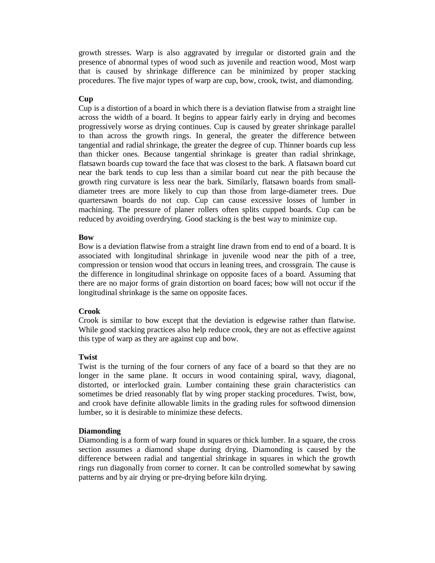growth stresses. Warp is also aggravated by irregular or distorted grain and the presence of abnormal types of wood such as juvenile and reaction wood, Most warp that is caused by shrinkage difference can be minimized by proper stacking procedures. The five major types of warp are cup, bow, crook, twist, and diamonding.

#### **Cup**

Cup is a distortion of a board in which there is a deviation flatwise from a straight line across the width of a board. It begins to appear fairly early in drying and becomes progressively worse as drying continues. Cup is caused by greater shrinkage parallel to than across the growth rings. In general, the greater the difference between tangential and radial shrinkage, the greater the degree of cup. Thinner boards cup less than thicker ones. Because tangential shrinkage is greater than radial shrinkage, flatsawn boards cup toward the face that was closest to the bark. A flatsawn board cut near the bark tends to cup less than a similar board cut near the pith because the growth ring curvature is less near the bark. Similarly, flatsawn boards from smalldiameter trees are more likely to cup than those from large-diameter trees. Due quartersawn boards do not cup. Cup can cause excessive losses of lumber in machining. The pressure of planer rollers often splits cupped boards. Cup can be reduced by avoiding overdrying. Good stacking is the best way to minimize cup.

#### **Bow**

Bow is a deviation flatwise from a straight line drawn from end to end of a board. It is associated with longitudinal shrinkage in juvenile wood near the pith of a tree, compression or tension wood that occurs in leaning trees, and crossgrain. The cause is the difference in longitudinal shrinkage on opposite faces of a board. Assuming that there are no major forms of grain distortion on board faces; bow will not occur if the longitudinal shrinkage is the same on opposite faces.

## **Crook**

Crook is similar to bow except that the deviation is edgewise rather than flatwise. While good stacking practices also help reduce crook, they are not as effective against this type of warp as they are against cup and bow.

## **Twist**

Twist is the turning of the four corners of any face of a board so that they are no longer in the same plane. It occurs in wood containing spiral, wavy, diagonal, distorted, or interlocked grain. Lumber containing these grain characteristics can sometimes be dried reasonably flat by wing proper stacking procedures. Twist, bow, and crook have definite allowable limits in the grading rules for softwood dimension lumber, so it is desirable to minimize these defects.

## **Diamonding**

Diamonding is a form of warp found in squares or thick lumber. In a square, the cross section assumes a diamond shape during drying. Diamonding is caused by the difference between radial and tangential shrinkage in squares in which the growth rings run diagonally from corner to corner. It can be controlled somewhat by sawing patterns and by air drying or pre-drying before kiln drying.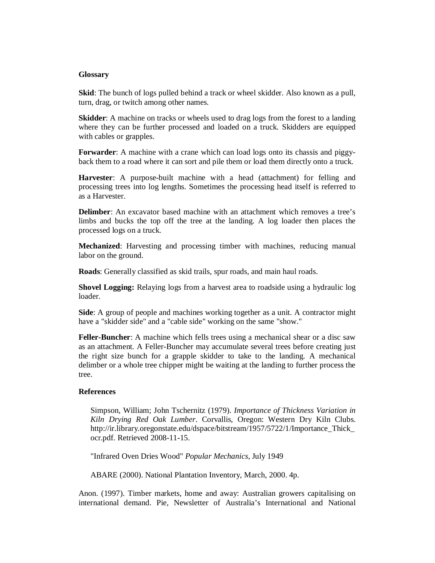#### **Glossary**

**Skid**: The bunch of logs pulled behind a track or wheel skidder. Also known as a pull, turn, drag, or twitch among other names.

**Skidder**: A machine on tracks or wheels used to drag logs from the forest to a landing where they can be further processed and loaded on a truck. Skidders are equipped with cables or grapples.

**Forwarder**: A machine with a crane which can load logs onto its chassis and piggyback them to a road where it can sort and pile them or load them directly onto a truck.

**Harvester**: A purpose-built machine with a head (attachment) for felling and processing trees into log lengths. Sometimes the processing head itself is referred to as a Harvester.

**Delimber**: An excavator based machine with an attachment which removes a tree's limbs and bucks the top off the tree at the landing. A log loader then places the processed logs on a truck.

**Mechanized**: Harvesting and processing timber with machines, reducing manual labor on the ground.

**Roads**: Generally classified as skid trails, spur roads, and main haul roads.

**Shovel Logging:** Relaying logs from a harvest area to roadside using a hydraulic log loader.

**Side**: A group of people and machines working together as a unit. A contractor might have a "skidder side" and a "cable side" working on the same "show."

**Feller-Buncher**: A machine which fells trees using a mechanical shear or a disc saw as an attachment. A Feller-Buncher may accumulate several trees before creating just the right size bunch for a grapple skidder to take to the landing. A mechanical delimber or a whole tree chipper might be waiting at the landing to further process the tree.

#### **References**

Simpson, William; John Tschernitz (1979). *Importance of Thickness Variation in Kiln Drying Red Oak Lumber*. Corvallis, Oregon: Western Dry Kiln Clubs. http://ir.library.oregonstate.edu/dspace/bitstream/1957/5722/1/Importance\_Thick\_ ocr.pdf. Retrieved 2008-11-15.

"Infrared Oven Dries Wood" *Popular Mechanics*, July 1949

ABARE (2000). National Plantation Inventory, March, 2000. 4p.

Anon. (1997). Timber markets, home and away: Australian growers capitalising on international demand. Pie, Newsletter of Australia's International and National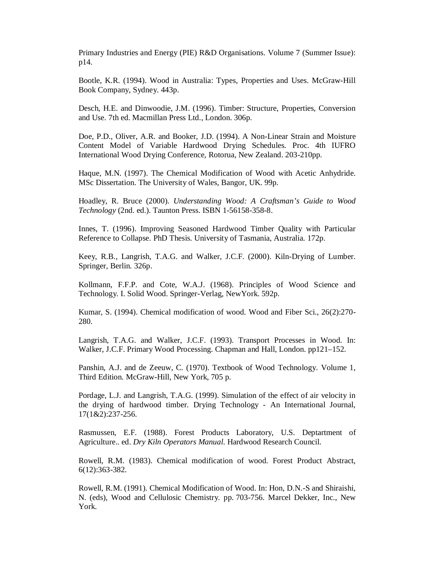Primary Industries and Energy (PIE) R&D Organisations. Volume 7 (Summer Issue): p14.

Bootle, K.R. (1994). Wood in Australia: Types, Properties and Uses. McGraw-Hill Book Company, Sydney. 443p.

Desch, H.E. and Dinwoodie, J.M. (1996). Timber: Structure, Properties, Conversion and Use. 7th ed. Macmillan Press Ltd., London. 306p.

Doe, P.D., Oliver, A.R. and Booker, J.D. (1994). A Non-Linear Strain and Moisture Content Model of Variable Hardwood Drying Schedules. Proc. 4th IUFRO International Wood Drying Conference, Rotorua, New Zealand. 203-210pp.

Haque, M.N. (1997). The Chemical Modification of Wood with Acetic Anhydride. MSc Dissertation. The University of Wales, Bangor, UK. 99p.

Hoadley, R. Bruce (2000). *Understanding Wood: A Craftsman's Guide to Wood Technology* (2nd. ed.). Taunton Press. ISBN 1-56158-358-8.

Innes, T. (1996). Improving Seasoned Hardwood Timber Quality with Particular Reference to Collapse. PhD Thesis. University of Tasmania, Australia. 172p.

Keey, R.B., Langrish, T.A.G. and Walker, J.C.F. (2000). Kiln-Drying of Lumber. Springer, Berlin. 326p.

Kollmann, F.F.P. and Cote, W.A.J. (1968). Principles of Wood Science and Technology. I. Solid Wood. Springer-Verlag, NewYork. 592p.

Kumar, S. (1994). Chemical modification of wood. Wood and Fiber Sci., 26(2):270- 280.

Langrish, T.A.G. and Walker, J.C.F. (1993). Transport Processes in Wood. In: Walker, J.C.F. Primary Wood Processing. Chapman and Hall, London. pp121–152.

Panshin, A.J. and de Zeeuw, C. (1970). Textbook of Wood Technology. Volume 1, Third Edition. McGraw-Hill, New York, 705 p.

Pordage, L.J. and Langrish, T.A.G. (1999). Simulation of the effect of air velocity in the drying of hardwood timber. Drying Technology - An International Journal, 17(1&2):237-256.

Rasmussen, E.F. (1988). Forest Products Laboratory, U.S. Deptartment of Agriculture.. ed. *Dry Kiln Operators Manual*. Hardwood Research Council.

Rowell, R.M. (1983). Chemical modification of wood. Forest Product Abstract, 6(12):363-382.

Rowell, R.M. (1991). Chemical Modification of Wood. In: Hon, D.N.-S and Shiraishi, N. (eds), Wood and Cellulosic Chemistry. pp. 703-756. Marcel Dekker, Inc., New York.